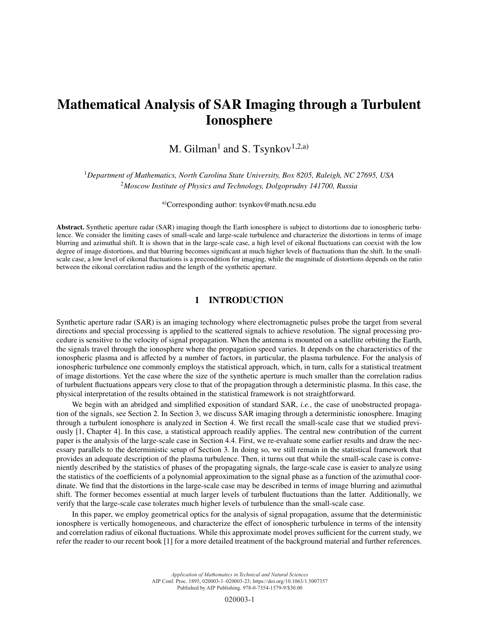# Mathematical Analysis of SAR Imaging through a Turbulent Ionosphere

M. Gilman<sup>1</sup> and S. Tsynkov<sup>1,2,a)</sup>

<sup>1</sup>*Department of Mathematics, North Carolina State University, Box 8205, Raleigh, NC 27695, USA* <sup>2</sup>*Moscow Institute of Physics and Technology, Dolgoprudny 141700, Russia*

a)Corresponding author: tsynkov@math.ncsu.edu

Abstract. Synthetic aperture radar (SAR) imaging though the Earth ionosphere is subject to distortions due to ionospheric turbulence. We consider the limiting cases of small-scale and large-scale turbulence and characterize the distortions in terms of image blurring and azimuthal shift. It is shown that in the large-scale case, a high level of eikonal fluctuations can coexist with the low degree of image distortions, and that blurring becomes significant at much higher levels of fluctuations than the shift. In the smallscale case, a low level of eikonal fluctuations is a precondition for imaging, while the magnitude of distortions depends on the ratio between the eikonal correlation radius and the length of the synthetic aperture.

# 1 INTRODUCTION

Synthetic aperture radar (SAR) is an imaging technology where electromagnetic pulses probe the target from several directions and special processing is applied to the scattered signals to achieve resolution. The signal processing procedure is sensitive to the velocity of signal propagation. When the antenna is mounted on a satellite orbiting the Earth, the signals travel through the ionosphere where the propagation speed varies. It depends on the characteristics of the ionospheric plasma and is affected by a number of factors, in particular, the plasma turbulence. For the analysis of ionospheric turbulence one commonly employs the statistical approach, which, in turn, calls for a statistical treatment of image distortions. Yet the case where the size of the synthetic aperture is much smaller than the correlation radius of turbulent fluctuations appears very close to that of the propagation through a deterministic plasma. In this case, the physical interpretation of the results obtained in the statistical framework is not straightforward.

We begin with an abridged and simplified exposition of standard SAR, *i.e.*, the case of unobstructed propagation of the signals, see Section 2. In Section 3, we discuss SAR imaging through a deterministic ionosphere. Imaging through a turbulent ionosphere is analyzed in Section 4. We first recall the small-scale case that we studied previously [1, Chapter 4]. In this case, a statistical approach readily applies. The central new contribution of the current paper is the analysis of the large-scale case in Section 4.4. First, we re-evaluate some earlier results and draw the necessary parallels to the deterministic setup of Section 3. In doing so, we still remain in the statistical framework that provides an adequate description of the plasma turbulence. Then, it turns out that while the small-scale case is conveniently described by the statistics of phases of the propagating signals, the large-scale case is easier to analyze using the statistics of the coefficients of a polynomial approximation to the signal phase as a function of the azimuthal coordinate. We find that the distortions in the large-scale case may be described in terms of image blurring and azimuthal shift. The former becomes essential at much larger levels of turbulent fluctuations than the latter. Additionally, we verify that the large-scale case tolerates much higher levels of turbulence than the small-scale case.

In this paper, we employ geometrical optics for the analysis of signal propagation, assume that the deterministic ionosphere is vertically homogeneous, and characterize the effect of ionospheric turbulence in terms of the intensity and correlation radius of eikonal fluctuations. While this approximate model proves sufficient for the current study, we refer the reader to our recent book [1] for a more detailed treatment of the background material and further references.

> *Application of Mathematics in Technical and Natural Sciences* AIP Conf. Proc. 1895, 020003-1–020003-23; https://doi.org/10.1063/1.5007357 Published by AIP Publishing. 978-0-7354-1579-9/\$30.00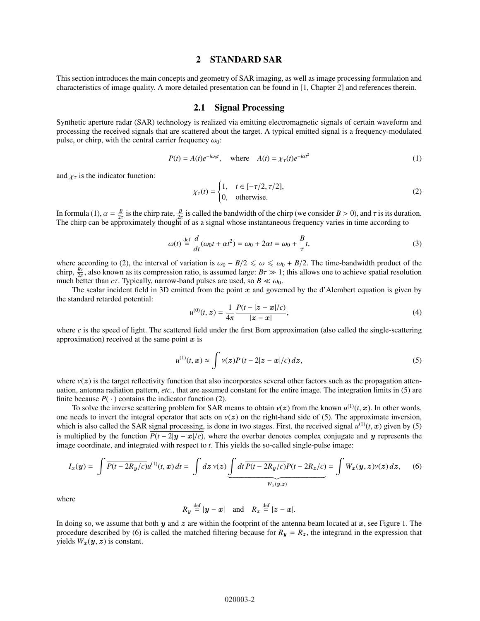# 2 STANDARD SAR

This section introduces the main concepts and geometry of SAR imaging, as well as image processing formulation and characteristics of image quality. A more detailed presentation can be found in [1, Chapter 2] and references therein.

## 2.1 Signal Processing

Synthetic aperture radar (SAR) technology is realized via emitting electromagnetic signals of certain waveform and processing the received signals that are scattered about the target. A typical emitted signal is a frequency-modulated pulse, or chirp, with the central carrier frequency  $\omega_0$ :

$$
P(t) = A(t)e^{-i\omega_0 t}, \quad \text{where} \quad A(t) = \chi_\tau(t)e^{-i\alpha t^2} \tag{1}
$$

and  $\chi_{\tau}$  is the indicator function:

$$
\chi_{\tau}(t) = \begin{cases} 1, & t \in [-\tau/2, \tau/2], \\ 0, & \text{otherwise.} \end{cases}
$$
 (2)

In formula (1),  $\alpha = \frac{B}{2\tau}$  is the chirp rate,  $\frac{B}{2\pi}$  is called the bandwidth of the chirp (we consider  $B > 0$ ), and  $\tau$  is its duration.<br>The chirp can be approximately thought of as a signal whose instantaneous The chirp can be approximately thought of as a signal whose instantaneous frequency varies in time according to The chirp can be approximately thought of as a signal whose instantaneous frequency varies in time according

$$
\omega(t) \stackrel{\text{def}}{=} \frac{d}{dt}(\omega_0 t + \alpha t^2) = \omega_0 + 2\alpha t = \omega_0 + \frac{B}{\tau},\tag{3}
$$

where according to (2), the interval of variation is  $\omega_0 - B/2 \leq \omega \leq \omega_0 + B/2$ . The time-bandwidth product of the chirp,  $\frac{B\tau}{2\pi}$ , also known as its compression ratio, is assumed large:  $B\tau \gg 1$ ; this allows one to achieve spatial resolution much better than  $c\tau$ . Typically, narrow-band pulses are used, so  $B \ll \omega_0$ much better than *c*r. Typically, narrow-band pulses are used, so  $B \ll \omega_0$ .<br>The scalar incident field in 3D emitted from the point *x* and govern

The scalar incident field in 3D emitted from the point  $x$  and governed by the d'Alembert equation is given by the standard retarded potential:

$$
u^{(0)}(t, z) = \frac{1}{4\pi} \frac{P(t - |z - x|/c)}{|z - x|},
$$
\n(4)

where *c* is the speed of light. The scattered field under the first Born approximation (also called the single-scattering approximation) received at the same point  $x$  is

$$
u^{(1)}(t, x) \approx \int v(z) P(t - 2|z - x|/c) dz,
$$
\n(5)

where  $v(z)$  is the target reflectivity function that also incorporates several other factors such as the propagation attenuation, antenna radiation pattern, *etc.*, that are assumed constant for the entire image. The integration limits in (5) are finite because  $P(\cdot)$  contains the indicator function (2).

To solve the inverse scattering problem for SAR means to obtain  $v(z)$  from the known  $u^{(1)}(t, x)$ . In other words, needs to invert the integral operator that acts on  $v(z)$  on the right-hand side of (5). The approximate in one needs to invert the integral operator that acts on  $v(z)$  on the right-hand side of (5). The approximate inversion, which is also called the SAR signal processing, is done in two stages. First, the received signal  $u^{(1)}(t, x)$  given by (5) is multiplied by the function  $\overline{v^{(t)}(t)}$  where the overbar denotes complex conjugate and at r is multiplied by the function  $\overline{P(t-2|y-x|/c)}$ , where the overbar denotes complex conjugate and y represents the image coordinate, and integrated with respect to *t*. This yields the so-called single-pulse image:

$$
I_x(y) = \int \overline{P(t - 2R_y/c)} u^{(1)}(t, x) dt = \int dz \, v(z) \underbrace{\int dt \, \overline{P(t - 2R_y/c)} P(t - 2R_z/c)}_{W_x(y, z)} = \int W_x(y, z) v(z) dz, \quad (6)
$$

where

$$
R_y \stackrel{\text{def}}{=} |y-x|
$$
 and  $R_z \stackrel{\text{def}}{=} |z-x|$ .

In doing so, we assume that both y and z are within the footprint of the antenna beam located at x, see Figure 1. The procedure described by (6) is called the matched filtering because for  $R_y = R_z$ , the integrand in the expression that yields  $W_x(y, z)$  is constant.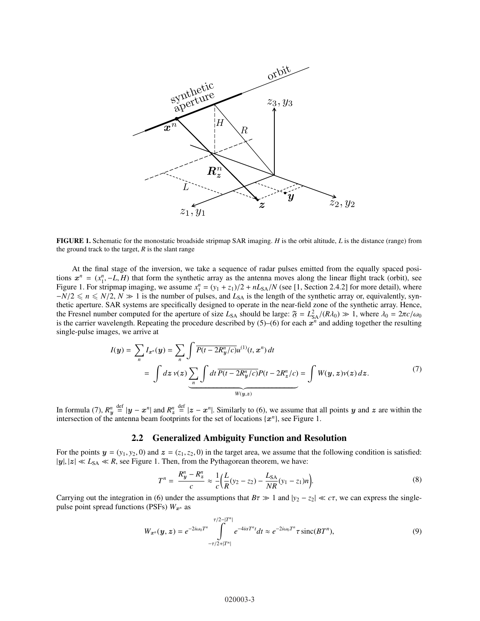

FIGURE 1. Schematic for the monostatic broadside stripmap SAR imaging. *H* is the orbit altitude, *L* is the distance (range) from the ground track to the target,  $R$  is the slant range

At the final stage of the inversion, we take a sequence of radar pulses emitted from the equally spaced positions  $x^n = (x_1^n, -L, H)$  that form the synthetic array as the antenna moves along the linear flight track (orbit), see<br>Figure 1. For stripping imaging we assume  $x^n = (y_1 + z_1)/2 + nL_0/N$  (see [1] Section 2.4.21 for more detail) Figure 1. For stripmap imaging, we assume  $x_1^n = (y_1 + z_1)/2 + nL_{SA}/N$  (see [1, Section 2.4.2] for more detail), where  $-N/2 \le n \le N/2$   $N \gg 1$  is the number of pulses, and  $L_{SA}$  is the length of the synthetic array or equivale  $-N/2 \le n \le N/2$ ,  $N \gg 1$  is the number of pulses, and  $L_{SA}$  is the length of the synthetic array or, equivalently, synthetic aperture. SAR systems are specifically designed to operate in the near-field zone of the synthetic array. Hence, the Fresnel number computed for the aperture of size  $L_{SA}$  should be large:  $\mathfrak{F} = L_{SA}^2/(R\lambda_0) \gg 1$ , where  $\lambda_0 = 2\pi c/\omega_0$ <br>is the carrier wavelength. Repeating the procedure described by (5)–(6) for each  $x^n$  and ad single-pulse images, we arrive at

$$
I(\mathbf{y}) = \sum_{n} I_{\mathbf{x}^n}(\mathbf{y}) = \sum_{n} \int \overline{P(t - 2R_{\mathbf{y}}^n/c)} u^{(1)}(t, \mathbf{x}^n) dt
$$
  
= 
$$
\int dz \, v(\mathbf{z}) \sum_{n} \int dt \, \overline{P(t - 2R_{\mathbf{y}}^n/c)} P(t - 2R_{\mathbf{z}}^n/c) = \int W(\mathbf{y}, \mathbf{z}) v(\mathbf{z}) dz.
$$
 (7)

In formula  $(7)$ ,  $R_y^n$  $\stackrel{\text{def}}{=} |y - x^n|$  and  $R_z^n$  $\frac{d}{dx}$  |z – x<sup>n</sup>|. Similarly to (6), we assume that all points y and z are within the intersection of the antenna beam footprints for the set of locations {x *n* }, see Figure 1.

#### 2.2 Generalized Ambiguity Function and Resolution

For the points  $y = (y_1, y_2, 0)$  and  $z = (z_1, z_2, 0)$  in the target area, we assume that the following condition is satisfied:  $|y|, |z| \ll L_{SA} \ll R$ , see Figure 1. Then, from the Pythagorean theorem, we have:

$$
T^{n} = \frac{R_{y}^{n} - R_{z}^{n}}{c} \approx \frac{1}{c} \left( \frac{L}{R} (y_{2} - z_{2}) - \frac{L_{SA}}{NR} (y_{1} - z_{1}) n \right).
$$
 (8)

Carrying out the integration in (6) under the assumptions that  $B\tau \gg 1$  and  $|y_2 - z_2| \ll c\tau$ , we can express the singlepulse point spread functions (PSFs)  $W_{x^n}$  as

$$
W_{x^n}(\boldsymbol{y}, \boldsymbol{z}) = e^{-2i\omega_0 T^n} \int_{-\tau/2+|T^n|}^{\tau/2-|T^n|} e^{-4i\alpha T^n t} dt \approx e^{-2i\omega_0 T^n} \tau \operatorname{sinc}(BT^n), \tag{9}
$$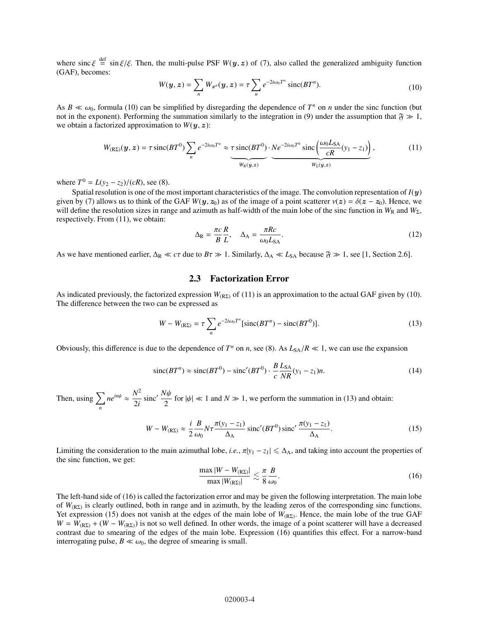where sinc $\xi$  <sup>def</sup> sin  $\xi/\xi$ . Then, the multi-pulse PSF  $W(y, z)$  of (7), also called the generalized ambiguity function (GAF) becomes: (GAF), becomes:

$$
W(\mathbf{y}, \mathbf{z}) = \sum_{n} W_{\mathbf{x}^n}(\mathbf{y}, \mathbf{z}) = \tau \sum_{n} e^{-2i\omega_0 T^n} \operatorname{sinc}(BT^n). \tag{10}
$$

As  $B \ll \omega_0$ , formula (10) can be simplified by disregarding the dependence of  $T^n$  on *n* under the sinc function (but not in the exponent). Performing the summation similarly to the integration in (9) under the assumpti not in the exponent). Performing the summation similarly to the integration in (9) under the assumption that  $\mathfrak{F} \gg 1$ , we obtain a factorized approximation to  $W(y, z)$ :

$$
W_{(R\Sigma)}(\mathbf{y},\mathbf{z}) = \tau \operatorname{sinc}(BT^0) \sum_n e^{-2i\omega_0 T^n} \approx \underbrace{\tau \operatorname{sinc}(BT^0)}_{W_R(\mathbf{y},\mathbf{z})} \cdot \underbrace{Ne^{-2i\omega_0 T^0} \operatorname{sinc}\left(\frac{\omega_0 L_{SA}}{cR}(y_1 - z_1)\right)}_{W_\Sigma(\mathbf{y},\mathbf{z})},\tag{11}
$$

where  $T^0 = L(y_2 - z_2)/(cR)$ , see (8).

Spatial resolution is one of the most important characteristics of the image. The convolution representation of  $I(y)$ given by (7) allows us to think of the GAF  $W(y, z_0)$  as of the image of a point scatterer  $v(z) = \delta(z - z_0)$ . Hence, we will define the resolution sizes in range and azimuth as half-width of the main lobe of the sinc function in  $W_R$  and  $W_\Sigma$ , respectively. From (11), we obtain:

$$
\Delta_{\rm R} = \frac{\pi c}{B} \frac{R}{L}, \quad \Delta_{\rm A} = \frac{\pi R c}{\omega_0 L_{\rm SA}}.
$$
\n(12)

As we have mentioned earlier,  $\Delta_R \ll c\tau$  due to  $B\tau \gg 1$ . Similarly,  $\Delta_A \ll L_{SA}$  because  $\mathfrak{F} \gg 1$ , see [1, Section 2.6].

#### 2.3 Factorization Error

As indicated previously, the factorized expression *W*<sub>(RΣ)</sub> of (11) is an approximation to the actual GAF given by (10). The difference between the two can be expressed as

$$
W - W_{\text{(R}\Sigma)} = \tau \sum_{n} e^{-2i\omega_0 T^n} [\text{sinc}(BT^n) - \text{sinc}(BT^0)]. \tag{13}
$$

Obviously, this difference is due to the dependence of  $T^n$  on *n*, see (8). As  $L_{SA}/R \ll 1$ , we can use the expansion

$$
\operatorname{sinc}(BT^n) \approx \operatorname{sinc}(BT^0) - \operatorname{sinc}'(BT^0) \cdot \frac{B}{c} \frac{L_{SA}}{NR} (y_1 - z_1) n. \tag{14}
$$

Then, using  $\sum$ *n*  $ne^{in\psi} \approx \frac{N^2}{2^2}$  $\frac{N^2}{2i}$  sinc<sup>,</sup>  $\frac{N\psi}{2}$  for  $|\psi| \ll 1$  and  $N \gg 1$ , we perform the summation in (13) and obtain:

$$
W - W_{(R\Sigma)} \approx \frac{i}{2} \frac{B}{\omega_0} N \tau \frac{\pi (y_1 - z_1)}{\Delta_A} \operatorname{sinc}'(BT^0) \operatorname{sinc}' \frac{\pi (y_1 - z_1)}{\Delta_A}.
$$
 (15)

Limiting the consideration to the main azimuthal lobe, *i.e.*,  $\pi |y_1 - z_1| \leq \Delta_A$ , and taking into account the properties of the sinc function, we get:

$$
\frac{\max |W - W_{(\text{R}\Sigma)}|}{\max |W_{(\text{R}\Sigma)}|} \lesssim \frac{\pi}{8} \frac{B}{\omega_0}.
$$
\n(16)

The left-hand side of (16) is called the factorization error and may be given the following interpretation. The main lobe of  $W_{(R\Sigma)}$  is clearly outlined, both in range and in azimuth, by the leading zeros of the corresponding sinc functions. Yet expression (15) does not vanish at the edges of the main lobe of  $W_{(R\Sigma)}$ . Hence, the main lobe of the true GAF  $W = W_{(R\Sigma)} + (W - W_{(R\Sigma)})$  is not so well defined. In other words, the image of a point scatterer will have a decreased contrast due to smearing of the edges of the main lobe. Expression (16) quantifies this effect. For a narrow-band interrogating pulse,  $B \ll \omega_0$ , the degree of smearing is small.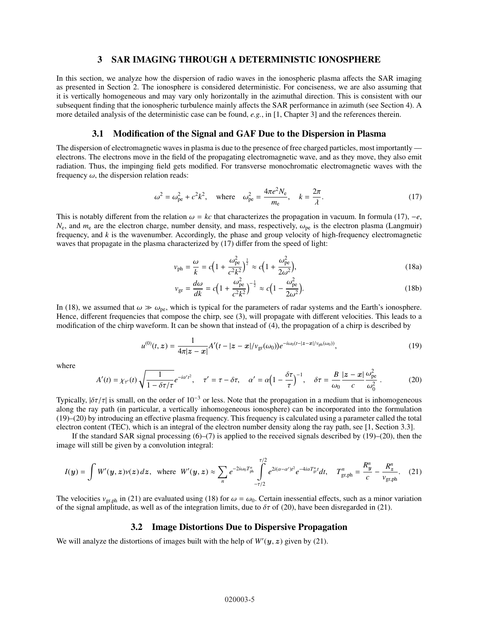# 3 SAR IMAGING THROUGH A DETERMINISTIC IONOSPHERE

In this section, we analyze how the dispersion of radio waves in the ionospheric plasma affects the SAR imaging as presented in Section 2. The ionosphere is considered deterministic. For conciseness, we are also assuming that it is vertically homogeneous and may vary only horizontally in the azimuthal direction. This is consistent with our subsequent finding that the ionospheric turbulence mainly affects the SAR performance in azimuth (see Section 4). A more detailed analysis of the deterministic case can be found, *e.g.*, in [1, Chapter 3] and the references therein.

#### 3.1 Modification of the Signal and GAF Due to the Dispersion in Plasma

The dispersion of electromagnetic waves in plasma is due to the presence of free charged particles, most importantly electrons. The electrons move in the field of the propagating electromagnetic wave, and as they move, they also emit radiation. Thus, the impinging field gets modified. For transverse monochromatic electromagnetic waves with the frequency  $\omega$ , the dispersion relation reads:

$$
\omega^2 = \omega_{\rm pe}^2 + c^2 k^2, \quad \text{where} \quad \omega_{\rm pe}^2 = \frac{4\pi e^2 N_{\rm e}}{m_{\rm e}}, \quad k = \frac{2\pi}{\lambda}.
$$
 (17)

This is notably different from the relation  $\omega = kc$  that characterizes the propagation in vacuum. In formula (17),  $-e$ ,  $N_e$ , and  $m_e$  are the electron charge, number density, and mass, respectively,  $\omega_{pe}$  is the electron plasma (Langmuir) frequency, and *k* is the wavenumber. Accordingly, the phase and group velocity of high-frequency electromagnetic waves that propagate in the plasma characterized by (17) differ from the speed of light:

$$
v_{\rm ph} = \frac{\omega}{k} = c \Big( 1 + \frac{\omega_{\rm pe}^2}{c^2 k^2} \Big)^{\frac{1}{2}} \approx c \Big( 1 + \frac{\omega_{\rm pe}^2}{2\omega^2} \Big),\tag{18a}
$$

$$
v_{\rm gr} = \frac{d\omega}{dk} = c\left(1 + \frac{\omega_{\rm pe}^2}{c^2 k^2}\right)^{-\frac{1}{2}} \approx c\left(1 - \frac{\omega_{\rm pe}^2}{2\omega^2}\right).
$$
 (18b)

In (18), we assumed that  $\omega \gg \omega_{\text{pe}}$ , which is typical for the parameters of radar systems and the Earth's ionosphere. Hence, different frequencies that compose the chirp, see (3), will propagate with different velocities. This leads to a modification of the chirp waveform. It can be shown that instead of (4), the propagation of a chirp is described by

$$
u^{(0)}(t,z) = \frac{1}{4\pi|z-x|} A'(t-|z-x|/v_{\rm gr}(\omega_0))e^{-i\omega_0(t-|z-x|/v_{\rm ph}(\omega_0))},\tag{19}
$$

where

$$
A'(t) = \chi_{\tau'}(t) \sqrt{\frac{1}{1 - \delta \tau/\tau}} e^{-i\alpha' t^2}, \quad \tau' = \tau - \delta \tau, \quad \alpha' = \alpha \Big( 1 - \frac{\delta \tau}{\tau} \Big)^{-1}, \quad \delta \tau = \frac{B}{\omega_0} \frac{|z - x|}{c} \frac{\omega_{\text{pe}}^2}{\omega_0^2} \,. \tag{20}
$$

Typically,  $|\delta \tau / \tau|$  is small, on the order of  $10^{-3}$  or less. Note that the propagation in a medium that is inhomogeneous along the ray path (in particular, a vertically inhomogeneous ionosphere) can be incorporated in along the ray path (in particular, a vertically inhomogeneous ionosphere) can be incorporated into the formulation (19)–(20) by introducing an effective plasma frequency. This frequency is calculated using a parameter called the total electron content (TEC), which is an integral of the electron number density along the ray path, see [1, Section 3.3].

If the standard SAR signal processing  $(6)$ – $(7)$  is applied to the received signals described by  $(19)$ – $(20)$ , then the image will still be given by a convolution integral:

$$
I(y) = \int W'(y, z)v(z) dz, \text{ where } W'(y, z) \approx \sum_{n} e^{-2i\omega_0 T_{\text{ph}}^n} \int_{-\tau/2}^{\tau/2} e^{2i(\alpha - \alpha')t^2} e^{-4i\alpha T_{\text{gr}}^n t} dt, \quad T_{\text{gr}, \text{ph}}^n = \frac{R_y^n}{c} - \frac{R_z^n}{v_{\text{gr}, \text{ph}}}.
$$
 (21)

The velocities  $v_{gr,ph}$  in (21) are evaluated using (18) for  $\omega = \omega_0$ . Certain inessential effects, such as a minor variation of the signal amplitude, as well as of the integration limits, due to  $\delta\tau$  of (20), have been disregarded in (21).

## 3.2 Image Distortions Due to Dispersive Propagation

We will analyze the distortions of images built with the help of  $W'(y, z)$  given by (21).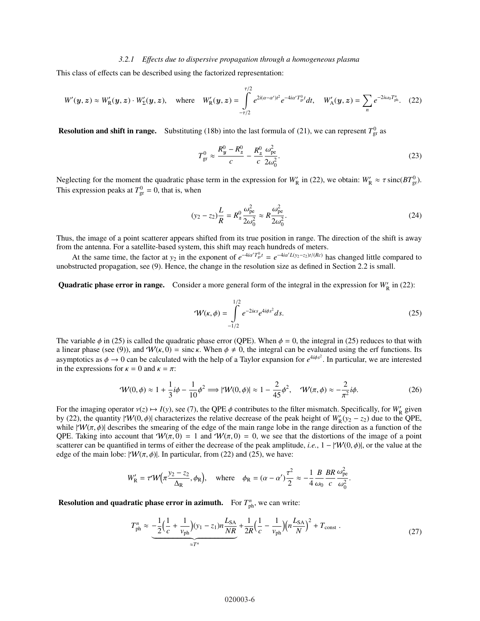#### *3.2.1 E*ff*ects due to dispersive propagation through a homogeneous plasma*

This class of effects can be described using the factorized representation:

$$
W'(y, z) \approx W'_{R}(y, z) \cdot W'_{\Sigma}(y, z), \quad \text{where} \quad W'_{R}(y, z) = \int_{-\tau/2}^{\tau/2} e^{2i(\alpha - \alpha')t^2} e^{-4i\alpha' T_{\text{gr}}^0} dt, \quad W'_{A}(y, z) = \sum_{n} e^{-2i\omega_0 T_{\text{ph}}^n}.
$$
 (22)

**Resolution and shift in range.** Substituting (18b) into the last formula of (21), we can represent  $T_{\text{gr}}^0$  as

$$
T_{\rm gr}^0 \approx \frac{R_y^0 - R_z^0}{c} - \frac{R_z^0}{c} \frac{\omega_{\rm pe}^2}{2\omega_0^2}.
$$
 (23)

Neglecting for the moment the quadratic phase term in the expression for  $W'_R$  in (22), we obtain:  $W'_R \approx \tau \operatorname{sinc}(BT^0_{gr})$ .<br>This expression posts at  $T^0 = 0$ , that is when This expression peaks at  $T_{\rm gr}^0 = 0$ , that is, when

$$
(y_2 - z_2)\frac{L}{R} = R_z^0 \frac{\omega_{\text{pe}}^2}{2\omega_0^2} \approx R \frac{\omega_{\text{pe}}^2}{2\omega_0^2}.
$$
 (24)

Thus, the image of a point scatterer appears shifted from its true position in range. The direction of the shift is away from the antenna. For a satellite-based system, this shift may reach hundreds of meters.

At the same time, the factor at  $y_2$  in the exponent of  $e^{-4i\alpha' T_{gt}^0 t} = e^{-4i\alpha' L(y_2 - z_2)t/(Rc)}$  has changed little compared to unobstructed propagation, see (9). Hence, the change in the resolution size as defined in Section 2.2 is small.

**Quadratic phase error in range.** Consider a more general form of the integral in the expression for  $W'_R$  in (22):

$$
\mathcal{W}(\kappa,\phi) = \int_{-1/2}^{1/2} e^{-2i\kappa s} e^{4i\phi s^2} ds.
$$
 (25)

The variable  $\phi$  in (25) is called the quadratic phase error (QPE). When  $\phi = 0$ , the integral in (25) reduces to that with a linear phase (see (9)), and  $W(\kappa, 0) = \text{sinc } \kappa$ . When  $\phi \neq 0$ , the integral can be evaluated using the erf functions. Its asymptotics as  $\phi \to 0$  can be calculated with the help of a Taylor expansion for  $e^{4i\phi s^2}$ . In particular, we are interested in the expressions for  $\kappa = 0$  and  $\kappa = \pi$ . in the expressions for  $\kappa = 0$  and  $\kappa = \pi$ :

$$
\mathcal{W}(0,\phi) \approx 1 + \frac{1}{3}i\phi - \frac{1}{10}\phi^2 \Longrightarrow |\mathcal{W}(0,\phi)| \approx 1 - \frac{2}{45}\phi^2, \quad \mathcal{W}(\pi,\phi) \approx -\frac{2}{\pi^2}i\phi.
$$
 (26)

For the imaging operator  $v(z) \mapsto I(y)$ , see (7), the QPE  $\phi$  contributes to the filter mismatch. Specifically, for  $W'_R$  given<br>by (22), the quantity  $|W(0, \phi)|$  characterizes the relative decrease of the peak height of  $W'(y$ by (22), the quantity  $|W(0, \phi)|$  characterizes the relative decrease of the peak height of  $W'_R(y_2 - z_2)$  due to the QPE,<br>while  $|W(\pi, \phi)|$  describes the smearing of the edge of the main range lobe in the range direction as while  $|\mathcal{W}(\pi,\phi)|$  describes the smearing of the edge of the main range lobe in the range direction as a function of the QPE. Taking into account that  $W(\pi, 0) = 1$  and  $W(\pi, 0) = 0$ , we see that the distortions of the image of a point scatterer can be quantified in terms of either the decrease of the peak amplitude, *i.e.*,  $1 - |\mathcal{W}(0, \phi)|$ , or the value at the edge of the main lobe:  $|\mathcal{W}(\pi,\phi)|$ . In particular, from (22) and (25), we have:

$$
W_{\rm R}' = \tau' W \Big( \pi \frac{y_2 - z_2}{\Delta_{\rm R}}, \phi_{\rm R} \Big), \quad \text{where} \quad \phi_{\rm R} = (\alpha - \alpha') \frac{\tau^2}{2} \approx -\frac{1}{4} \frac{B}{\omega_0} \frac{BR}{c} \frac{\omega_{\rm pe}^2}{\omega_0^2}.
$$

**Resolution and quadratic phase error in azimuth.** For  $T_{ph}^n$ , we can write:

$$
T_{\rm ph}^{n} \approx \underbrace{-\frac{1}{2} \Big( \frac{1}{c} + \frac{1}{v_{\rm ph}} \Big) (y_1 - z_1) n \frac{L_{\rm SA}}{NR} }_{\approx T^{n}} + \frac{1}{2R} \Big( \frac{1}{c} - \frac{1}{v_{\rm ph}} \Big) \Big( n \frac{L_{\rm SA}}{N} \Big)^2 + T_{\rm const} \ . \tag{27}
$$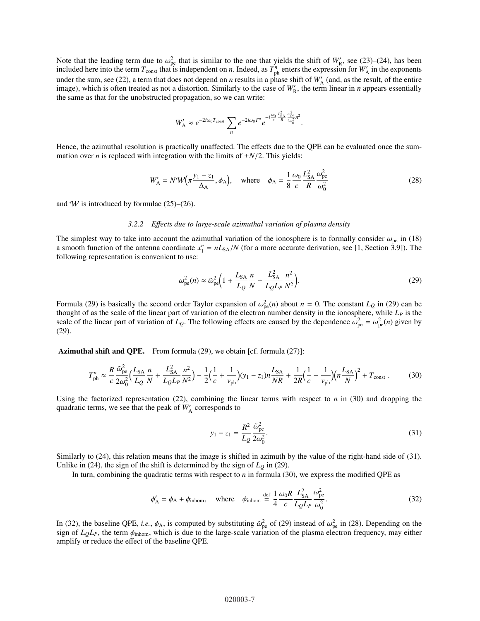Note that the leading term due to  $\omega_{pe}^2$  that is similar to the one that yields the shift of  $W'_R$ , see (23)–(24), has been<br>included here into the term  $T_{\text{c}}$ , that is independent on *n*. Indeed, as  $T^n$  enters the included here into the term  $T_{\text{const}}$  that is independent on *n*. Indeed, as  $T_{\text{ph}}^n$  enters the expression for  $W'_{\text{A}}$  in the exponents under the sum, see (22), a term that does not depend on *n* results in a phase shift of  $W'_{A}$  (and, as the result, of the entire image), which is often treated as not a distortion. Similarly to the case of  $W'_R$ , the term linear in *n* appears essentially the same as that for the unobstructed propagation, so we can write:

$$
W'_{\rm A} \approx e^{-2i\omega_0 T_{\rm const}} \sum_n e^{-2i\omega_0 T^n} e^{-i\frac{\omega_0}{c} \frac{L_{\rm SA}^2}{R} \frac{\omega_{\rm pe}^2}{2\omega_0^2} n^2}.
$$

Hence, the azimuthal resolution is practically unaffected. The effects due to the QPE can be evaluated once the summation over *n* is replaced with integration with the limits of  $\pm N/2$ . This yields:

$$
W'_{\mathcal{A}} = N'\mathcal{W}\left(\pi\frac{y_1 - z_1}{\Delta_{\mathcal{A}}}, \phi_{\mathcal{A}}\right), \quad \text{where} \quad \phi_{\mathcal{A}} = \frac{1}{8}\frac{\omega_0}{c}\frac{L_{\mathcal{SA}}^2}{R}\frac{\omega_{\mathcal{P}^2}^2}{\omega_0^2}
$$
(28)

and  $W$  is introduced by formulae (25)–(26).

#### *3.2.2 E*ff*ects due to large-scale azimuthal variation of plasma density*

The simplest way to take into account the azimuthal variation of the ionosphere is to formally consider  $\omega_{pe}$  in (18) a smooth function of the antenna coordinate  $x_1^n = nL_{SA}/N$  (for a more accurate derivation, see [1, Section 3.9]). The following representation is convenient to use: following representation is convenient to use:

$$
\omega_{\rm pe}^2(n) \approx \tilde{\omega}_{\rm pe}^2 \left( 1 + \frac{L_{\rm SA}}{L_Q} \frac{n}{N} + \frac{L_{\rm SA}^2}{L_Q L_P} \frac{n^2}{N^2} \right). \tag{29}
$$

Formula (29) is basically the second order Taylor expansion of  $\omega_{pe}^2(n)$  about  $n = 0$ . The constant  $L_Q$  in (29) can be thought of as the scale of the linear part of variation of the electron number density in the ionos thought of as the scale of the linear part of variation of the electron number density in the ionosphere, while *L<sup>P</sup>* is the scale of the linear part of variation of  $L_Q$ . The following effects are caused by the dependence  $\omega_{pe}^2 = \omega_{pe}^2(n)$  given by  $(29)$ (29).

Azimuthal shift and QPE. From formula (29), we obtain [cf. formula (27)]:

$$
T_{\rm ph}^{n} \approx \frac{R}{c} \frac{\tilde{\omega}_{\rm pe}^{2}}{2\omega_{0}^{2}} \Big(\frac{L_{\rm SA}}{L_{Q}} \frac{n}{N} + \frac{L_{\rm SA}^{2}}{L_{Q}L_{P}} \frac{n^{2}}{N^{2}}\Big) - \frac{1}{2} \Big(\frac{1}{c} + \frac{1}{\nu_{\rm ph}}\Big)(y_{1} - z_{1})n\frac{L_{\rm SA}}{NR} + \frac{1}{2R} \Big(\frac{1}{c} - \frac{1}{\nu_{\rm ph}}\Big)\Big(n\frac{L_{\rm SA}}{N}\Big)^{2} + T_{\rm const} \,. \tag{30}
$$

Using the factorized representation  $(22)$ , combining the linear terms with respect to *n* in  $(30)$  and dropping the quadratic terms, we see that the peak of  $W'_{A}$  corresponds to

$$
y_1 - z_1 = \frac{R^2}{L_Q} \frac{\tilde{\omega}_{pe}^2}{2\omega_0^2}.
$$
 (31)

Similarly to (24), this relation means that the image is shifted in azimuth by the value of the right-hand side of (31). Unlike in (24), the sign of the shift is determined by the sign of  $L_Q$  in (29).

In turn, combining the quadratic terms with respect to *n* in formula (30), we express the modified QPE as

$$
\phi'_{\mathcal{A}} = \phi_{\mathcal{A}} + \phi_{\text{inhom}}, \quad \text{where} \quad \phi_{\text{inhom}} \stackrel{\text{def}}{=} \frac{1}{4} \frac{\omega_0 R}{c} \frac{L_{\mathcal{SA}}^2}{L_{\mathcal{Q}} L_P} \frac{\omega_{\text{pe}}^2}{\omega_0^2}.
$$
 (32)

In (32), the baseline QPE, *i.e.*,  $\phi_A$ , is computed by substituting  $\tilde{\omega}_{pe}^2$  of (29) instead of  $\omega_{pe}^2$  in (28). Depending on the sign of *L*<sub>O</sub>*L*<sub>n</sub>, the term  $\phi_{e\text{other}}$  which is due to the large-scale variatio sign of  $L_0L_P$ , the term  $\phi$ <sub>inhom</sub>, which is due to the large-scale variation of the plasma electron frequency, may either amplify or reduce the effect of the baseline QPE.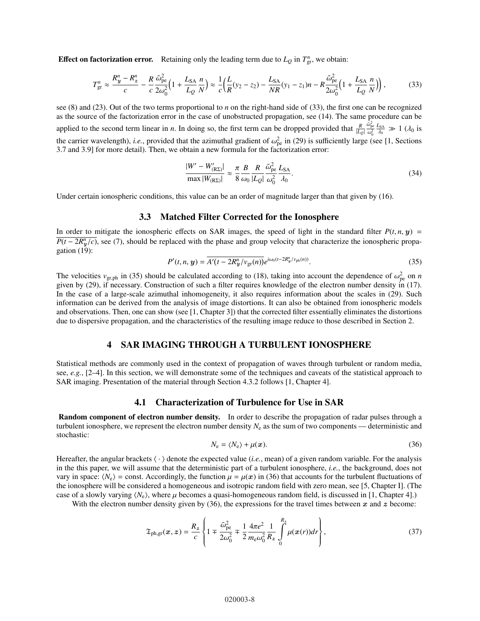Effect on factorization error. Retaining only the leading term due to  $L_Q$  in  $T_{\text{gr}}^n$ , we obtain:

$$
T_{\rm gr}^{n} \approx \frac{R_{y}^{n} - R_{z}^{n}}{c} - \frac{R}{c} \frac{\tilde{\omega}_{\rm pe}^{2}}{2\omega_{0}^{2}} \Big(1 + \frac{L_{\rm SA}}{L_{Q}} \frac{n}{N}\Big) \approx \frac{1}{c} \Big(\frac{L}{R}(\gamma_{2} - z_{2}) - \frac{L_{\rm SA}}{NR}(\gamma_{1} - z_{1})n - R\frac{\tilde{\omega}_{\rm pe}^{2}}{2\omega_{0}^{2}} \Big(1 + \frac{L_{\rm SA}}{L_{Q}} \frac{n}{N}\Big)\Big),\tag{33}
$$

see (8) and (23). Out of the two terms proportional to *n* on the right-hand side of (33), the first one can be recognized as the source of the factorization error in the case of unobstructed propagation, see (14). The same procedure can be applied to the second term linear in *n*. In doing so, the first term can be dropped provided that  $\frac{R}{|L_Q|} \frac{\tilde{\omega}_{pe}^2}{\omega_0^2}$ the carrier wavelength), *i.e.*, provided that the azimuthal gradient of  $\omega_{pe}^2$  in (29) is sufficiently large (see [1, Sections 3.7 and 3.9] for more detail). Then we obtain a new formula for the factorization error:  $\frac{L_{SA}}{\lambda_0} \gg 1$  ( $\lambda_0$  is 3.7 and 3.9] for more detail). Then, we obtain a new formula for the factorization error:

$$
\frac{|W'-W'_{(\text{R}\Sigma)}|}{\max|W_{(\text{R}\Sigma)}|} \approx \frac{\pi}{8} \frac{B}{\omega_0} \frac{R}{|L_Q|} \frac{\tilde{\omega}_{\text{pe}}^2}{\omega_0^2} \frac{L_{\text{SA}}}{\lambda_0}.
$$
\n(34)

Under certain ionospheric conditions, this value can be an order of magnitude larger than that given by (16).

#### 3.3 Matched Filter Corrected for the Ionosphere

In order to mitigate the ionospheric effects on SAR images, the speed of light in the standard filter  $P(t, n, y)$  =  $P(t - 2R_y^n/c)$ , see (7), should be replaced with the phase and group velocity that characterize the ionospheric propa-<br>gation (19): gation  $(19)$ :

$$
P'(t,n,\mathbf{y}) = \overline{A'(t - 2R_{\mathbf{y}}^n / v_{\text{gr}}(n))} e^{i\omega_0(t - 2R_{\mathbf{y}}^n / v_{\text{ph}}(n))}.
$$
\n(35)

The velocities  $v_{\text{gr,ph}}$  in (35) should be calculated according to (18), taking into account the dependence of  $\omega_{\text{pe}}^2$  on *n n* in (17) signals by (29) if necessary Construction of such a filter requires knowledg given by (29), if necessary. Construction of such a filter requires knowledge of the electron number density in (17). In the case of a large-scale azimuthal inhomogeneity, it also requires information about the scales in (29). Such information can be derived from the analysis of image distortions. It can also be obtained from ionospheric models and observations. Then, one can show (see [1, Chapter 3]) that the corrected filter essentially eliminates the distortions due to dispersive propagation, and the characteristics of the resulting image reduce to those described in Section 2.

# 4 SAR IMAGING THROUGH A TURBULENT IONOSPHERE

Statistical methods are commonly used in the context of propagation of waves through turbulent or random media, see, *e.g.*, [2–4]. In this section, we will demonstrate some of the techniques and caveats of the statistical approach to SAR imaging. Presentation of the material through Section 4.3.2 follows [1, Chapter 4].

# 4.1 Characterization of Turbulence for Use in SAR

Random component of electron number density. In order to describe the propagation of radar pulses through a turbulent ionosphere, we represent the electron number density  $N_e$  as the sum of two components — deterministic and stochastic:

$$
N_{\rm e} = \langle N_{\rm e} \rangle + \mu(x). \tag{36}
$$

Hereafter, the angular brackets  $\langle \cdot \rangle$  denote the expected value (*i.e.*, mean) of a given random variable. For the analysis in the this paper, we will assume that the deterministic part of a turbulent ionosphere, *i.e.*, the background, does not vary in space:  $\langle N_e \rangle$  = const. Accordingly, the function  $\mu = \mu(x)$  in (36) that accounts for the turbulent fluctuations of the ionosphere will be considered a homogeneous and isotropic random field with zero mean, see [5, Chapter I]. (The case of a slowly varying  $\langle N_e \rangle$ , where  $\mu$  becomes a quasi-homogeneous random field, is discussed in [1, Chapter 4].)

With the electron number density given by  $(36)$ , the expressions for the travel times between x and z become:

$$
\mathfrak{T}_{\text{ph.gr}}(\boldsymbol{x}, \boldsymbol{z}) = \frac{R_z}{c} \left\{ 1 \mp \frac{\bar{\omega}_{\text{pe}}^2}{2\omega_0^2} \mp \frac{1}{2} \frac{4\pi e^2}{m_{\text{e}}\omega_0^2} \frac{1}{R_z} \int_0^{R_z} \mu(\boldsymbol{x}(r)) dr \right\},\tag{37}
$$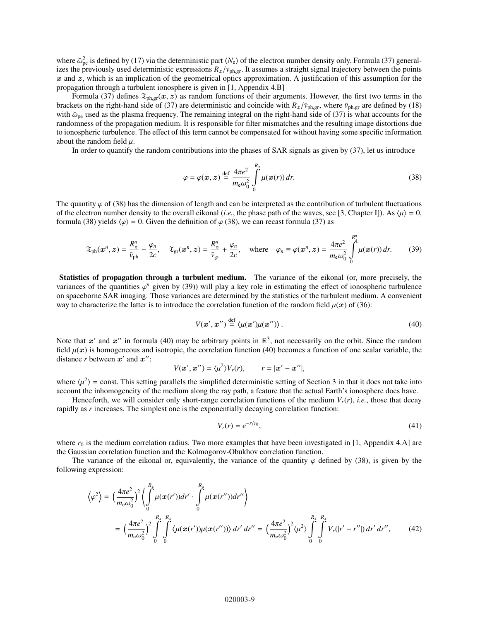where  $\bar{\omega}_{pe}^2$  is defined by (17) via the deterministic part  $\langle N_e \rangle$  of the electron number density only. Formula (37) general-<br>izes the previously used deterministic expressions  $R/\nu$ . It assumes a straight signal tr izes the previously used deterministic expressions  $R_z/v_{\text{ph,gr}}$ . It assumes a straight signal trajectory between the points x and z, which is an implication of the geometrical optics approximation. A justification of this assumption for the propagation through a turbulent ionosphere is given in [1, Appendix 4.B]

Formula (37) defines  $\mathfrak{T}_{ph,gr}(x, z)$  as random functions of their arguments. However, the first two terms in the brackets on the right-hand side of (37) are deterministic and coincide with  $R_z/\bar{v}_{\text{ph,gr}}$ , where  $\bar{v}_{\text{ph,gr}}$  are defined by (18) with  $\bar{\omega}_{\text{pe}}$  used as the plasma frequency. The remaining integral on the right-hand side of (37) is what accounts for the randomness of the propagation medium. It is responsible for filter mismatches and the resulting image distortions due to ionospheric turbulence. The effect of this term cannot be compensated for without having some specific information about the random field  $\mu$ .

In order to quantify the random contributions into the phases of SAR signals as given by (37), let us introduce

$$
\varphi = \varphi(x, z) \stackrel{\text{def}}{=} \frac{4\pi e^2}{m_e \omega_0^2} \int_0^{R_z} \mu(x(r)) dr.
$$
 (38)

The quantity  $\varphi$  of (38) has the dimension of length and can be interpreted as the contribution of turbulent fluctuations of the electron number density to the overall eikonal (*i.e.*, the phase path of the waves, see [3, Chapter I]). As  $\langle \mu \rangle = 0$ , formula (38) yields  $\langle \varphi \rangle = 0$ . Given the definition of  $\varphi$  (38), we can recast formula (37) as

$$
\mathfrak{T}_{\mathrm{ph}}(x^n, z) = \frac{R_z^n}{\bar{v}_{\mathrm{ph}}} - \frac{\varphi_n}{2c}, \quad \mathfrak{T}_{\mathrm{gr}}(x^n, z) = \frac{R_z^n}{\bar{v}_{\mathrm{gr}}} + \frac{\varphi_n}{2c}, \quad \text{where} \quad \varphi_n \equiv \varphi(x^n, z) = \frac{4\pi e^2}{m_e \omega_0^2} \int_0^{R_z^n} \mu(x(r)) dr. \tag{39}
$$

Statistics of propagation through a turbulent medium. The variance of the eikonal (or, more precisely, the variances of the quantities  $\varphi^n$  given by (39)) will play a key role in estimating the effect of ionospheric turbulence<br>on spaceborne SAR imaging. Those variances are determined by the statistics of the turbulent medium on spaceborne SAR imaging. Those variances are determined by the statistics of the turbulent medium. A convenient way to characterize the latter is to introduce the correlation function of the random field  $\mu(x)$  of (36):

$$
V(\mathbf{x}', \mathbf{x}'') \stackrel{\text{def}}{=} \langle \mu(\mathbf{x}') \mu(\mathbf{x}'') \rangle. \tag{40}
$$

Note that x' and x'' in formula (40) may be arbitrary points in  $\mathbb{R}^3$ , not necessarily on the orbit. Since the random field  $\mu(x)$  is homogeneous and isotropic, the correlation function (40) becomes a function of one scalar variable, the distance  $r$  between  $x'$  and  $x''$ :

$$
V(\mathbf{x}', \mathbf{x}'') = \langle \mu^2 \rangle V_r(r), \qquad r = |\mathbf{x}' - \mathbf{x}''|,
$$

where  $\langle \mu^2 \rangle$  = const. This setting parallels the simplified deterministic setting of Section 3 in that it does not take into<br>account the inhomogeneity of the medium along the ray path, a feature that the actual Earth' account the inhomogeneity of the medium along the ray path, a feature that the actual Earth's ionosphere does have.

Henceforth, we will consider only short-range correlation functions of the medium  $V_r(r)$ , *i.e.*, those that decay rapidly as *r* increases. The simplest one is the exponentially decaying correlation function:

$$
V_r(r) = e^{-r/r_0},\tag{41}
$$

where  $r_0$  is the medium correlation radius. Two more examples that have been investigated in [1, Appendix 4.A] are the Gaussian correlation function and the Kolmogorov-Obukhov correlation function.

The variance of the eikonal or, equivalently, the variance of the quantity  $\varphi$  defined by (38), is given by the following expression:

$$
\langle \varphi^2 \rangle = \left( \frac{4\pi e^2}{m_e \omega_0^2} \right)^2 \left\{ \int_0^{R_z} \mu(x(r')) dr' \cdot \int_0^{R_z} \mu(x(r'')) dr'' \right\}
$$
  
=  $\left( \frac{4\pi e^2}{m_e \omega_0^2} \right)^2 \int_0^{R_z} \int_0^{R_z} \langle \mu(x(r')) \mu(x(r'')) \rangle dr' dr'' = \left( \frac{4\pi e^2}{m_e \omega_0^2} \right)^2 \langle \mu^2 \rangle \int_0^{R_z} \int_0^{R_z} V_r(|r'-r''|) dr' dr'' , \qquad (42)$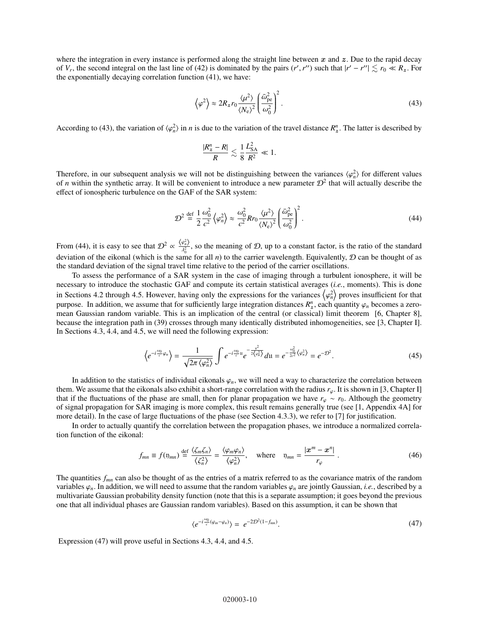where the integration in every instance is performed along the straight line between  $x$  and  $z$ . Due to the rapid decay of *V<sub>r</sub>*, the second integral on the last line of (42) is dominated by the pairs  $(r', r'')$  such that  $|r' - r''| \lesssim r_0 \ll R_z$ . For the exponentially decaying correlation function (41) we have: the exponentially decaying correlation function (41), we have:

$$
\left\langle \varphi^2 \right\rangle \approx 2R_z r_0 \frac{\langle \mu^2 \rangle}{\langle N_e \rangle^2} \left( \frac{\bar{\omega}_{\rm pe}^2}{\omega_0^2} \right)^2.
$$
 (43)

According to (43), the variation of  $\langle \varphi_n^2 \rangle$  in *n* is due to the variation of the travel distance  $R_z^n$ . The latter is described by

$$
\frac{|R_z^n - R|}{R} \lesssim \frac{1}{8} \frac{L_{SA}^2}{R^2} \ll 1.
$$

Therefore, in our subsequent analysis we will not be distinguishing between the variances  $\langle \varphi_n^2 \rangle$  for different values of *n* within the synthetic array. It will be convenient to introduce a new parameter  $\mathcal{D}^2$  of *n* within the synthetic array. It will be convenient to introduce a new parameter  $\mathcal{D}^2$  that will actually describe the effect of ionospheric turbulence on the GAF of the SAR system:

$$
\mathcal{D}^2 \stackrel{\text{def}}{=} \frac{1}{2} \frac{\omega_0^2}{c^2} \left\langle \varphi_n^2 \right\rangle \approx \frac{\omega_0^2}{c^2} R r_0 \frac{\langle \mu^2 \rangle}{\langle N_e \rangle^2} \left( \frac{\bar{\omega}_{pe}^2}{\omega_0^2} \right)^2.
$$
 (44)

From (44), it is easy to see that  $\mathcal{D}^2 \propto \frac{\langle \varphi_n^2 \rangle}{\lambda_0^2}$ , so the meaning of  $\mathcal{D}$ , up to a constant factor, is the ratio of the standard deviation of the eikonal (which is the same for all *n*) to the carrier wavelength. Equivalently,  $D$  can be thought of as the standard deviation of the signal travel time relative to the period of the carrier oscillations.

To assess the performance of a SAR system in the case of imaging through a turbulent ionosphere, it will be necessary to introduce the stochastic GAF and compute its certain statistical averages (*i.e.*, moments). This is done in Sections 4.2 through 4.5. However, having only the expressions for the variances  $\langle \varphi_n^2 \rangle$  proves insufficient for that purpose. In addition, we assume that for sufficiently large integration distances  $R_2^n$ , each quantity  $\varphi_n$  becomes a zero-<br>mean Gaussian random variable. This is an implication of the central (or classical) limit the mean Gaussian random variable. This is an implication of the central (or classical) limit theorem [6, Chapter 8], because the integration path in (39) crosses through many identically distributed inhomogeneities, see [3, Chapter I]. In Sections 4.3, 4.4, and 4.5, we will need the following expression:

$$
\left\langle e^{-i\frac{\omega_0}{c}\varphi_n} \right\rangle = \frac{1}{\sqrt{2\pi \left\langle \varphi_n^2 \right\rangle}} \int e^{-i\frac{\omega_0}{c}u} e^{-\frac{u^2}{2\left\langle \varphi_n^2 \right\rangle}} du = e^{-\frac{\omega_0^2}{2c^2} \left\langle \varphi_n^2 \right\rangle} = e^{-\mathcal{D}^2}.
$$
 (45)

In addition to the statistics of individual eikonals  $\varphi_n$ , we will need a way to characterize the correlation between them. We assume that the eikonals also exhibit a short-range correlation with the radius  $r<sub>φ</sub>$ . It is shown in [3, Chapter I] that if the fluctuations of the phase are small, then for planar propagation we have  $r_{\varphi} \sim r_0$ . Although the geometry of signal propagation for SAR imaging is more complex, this result remains generally true (see [1, Appendix 4A] for more detail). In the case of large fluctuations of the phase (see Section 4.3.3), we refer to [7] for justification.

In order to actually quantify the correlation between the propagation phases, we introduce a normalized correlation function of the eikonal:

$$
f_{mn} \equiv f(\mathfrak{y}_{mn}) \stackrel{\text{def}}{=} \frac{\langle \zeta_m \zeta_n \rangle}{\langle \zeta_n^2 \rangle} = \frac{\langle \varphi_m \varphi_n \rangle}{\langle \varphi_n^2 \rangle}, \quad \text{where} \quad \mathfrak{y}_{mn} = \frac{|\mathbf{x}^m - \mathbf{x}^n|}{r_{\varphi}} \ . \tag{46}
$$

The quantities *fmn* can also be thought of as the entries of a matrix referred to as the covariance matrix of the random variables  $\varphi_n$ . In addition, we will need to assume that the random variables  $\varphi_n$  are jointly Gaussian, *i.e.*, described by a multivariate Gaussian probability density function (note that this is a separate assumption; it goes beyond the previous one that all individual phases are Gaussian random variables). Based on this assumption, it can be shown that

$$
\langle e^{-i\frac{\omega_0}{c}(\varphi_m-\varphi_n)}\rangle = e^{-2\mathcal{D}^2(1-f_{mn})}.\tag{47}
$$

Expression (47) will prove useful in Sections 4.3, 4.4, and 4.5.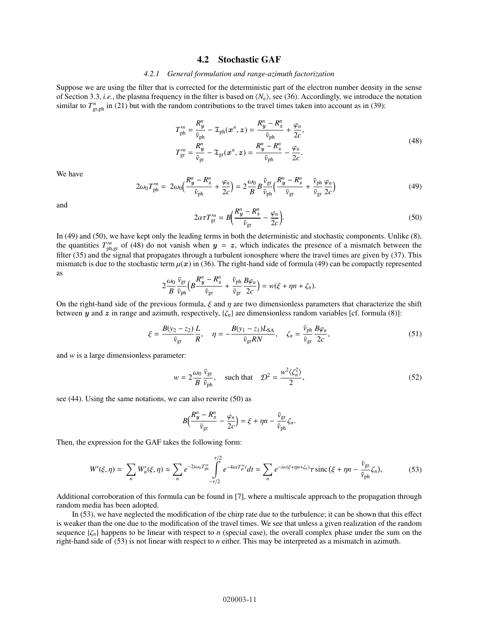#### 4.2 Stochastic GAF

#### *4.2.1 General formulation and range-azimuth factorization*

Suppose we are using the filter that is corrected for the deterministic part of the electron number density in the sense of Section 3.3, *i.e.*, the plasma frequency in the filter is based on  $\langle N_e \rangle$ , see (36). Accordingly, we introduce the notation similar to  $T_{\text{gr},ph}^n$  in (21) but with the random contributions to the travel times taken into account as in (39):

$$
T_{\rm ph}^m = \frac{R_y^n}{\bar{v}_{\rm ph}} - \mathfrak{T}_{\rm ph}(\boldsymbol{x}^n, \boldsymbol{z}) = \frac{R_y^n - R_z^n}{\bar{v}_{\rm ph}} + \frac{\varphi_n}{2c},
$$
  
\n
$$
T_{\rm gr}^m = \frac{R_y^n}{\bar{v}_{\rm gr}} - \mathfrak{T}_{\rm gr}(\boldsymbol{x}^n, \boldsymbol{z}) = \frac{R_y^n - R_z^n}{\bar{v}_{\rm ph}} - \frac{\varphi_n}{2c}.
$$
\n(48)

We have

$$
2\omega_0 T_{\text{ph}}^{\prime n} = 2\omega_0 \left(\frac{R_y^n - R_z^n}{\bar{\nu}_{\text{ph}}} + \frac{\varphi_n}{2c}\right) = 2\frac{\omega_0}{B} B \frac{\bar{\nu}_{\text{gr}}}{\bar{\nu}_{\text{ph}}} \left(\frac{R_y^n - R_z^n}{\bar{\nu}_{\text{gr}}} + \frac{\bar{\nu}_{\text{ph}}}{\bar{\nu}_{\text{gr}}} \frac{\varphi_n}{2c}\right)
$$
(49)

and

$$
2\alpha \tau T_{\rm gr}^{\prime n} = B \Big( \frac{R_y^n - R_z^n}{\overline{\nu}_{\rm gr}} - \frac{\varphi_n}{2c} \Big). \tag{50}
$$

In (49) and (50), we have kept only the leading terms in both the deterministic and stochastic components. Unlike (8), the quantities  $T_{\text{phor}}^m$  of (48) do not vanish when  $y = z$ , which indicates the presence of a mismatch between the filter (35) and the signal that propagates through a turbulent ionosphere where the travel times are given by (37). This mismatch is due to the stochastic term  $\mu(x)$  in (36). The right-hand side of formula (49) can be compactly represented as

$$
2\frac{\omega_0}{B}\frac{\bar{v}_{\rm gr}}{\bar{v}_{\rm ph}}\Big(B\frac{R_y^n-R_z^n}{\bar{v}_{\rm gr}}+\frac{\bar{v}_{\rm ph}}{\bar{v}_{\rm gr}}\frac{B\varphi_n}{2c}\Big)=w(\xi+\eta n+\zeta_n).
$$

On the right-hand side of the previous formula,  $\xi$  and  $\eta$  are two dimensionless parameters that characterize the shift between y and z in range and azimuth, respectively,  $\{\zeta_n\}$  are dimensionless random variables [cf. formula (8)]:

$$
\xi = \frac{B(y_2 - z_2)}{\bar{v}_{\rm gr}} \frac{L}{R}, \quad \eta = -\frac{B(y_1 - z_1)L_{\rm SA}}{\bar{v}_{\rm gr}RN}, \quad \zeta_n = \frac{\bar{v}_{\rm ph}}{\bar{v}_{\rm gr}} \frac{B\varphi_n}{2c},\tag{51}
$$

and *w* is a large dimensionless parameter:

$$
w = 2\frac{\omega_0}{B} \frac{\bar{v}_{\text{gr}}}{\bar{v}_{\text{ph}}}, \quad \text{such that} \quad \mathcal{D}^2 = \frac{w^2 \langle \zeta_n^2 \rangle}{2}, \tag{52}
$$

see (44). Using the same notations, we can also rewrite (50) as

$$
B\Big(\frac{R_y^n - R_z^n}{\overline{\nu}_{gr}} - \frac{\varphi_n}{2c}\Big) = \xi + \eta n - \frac{\overline{\nu}_{gr}}{\overline{\nu}_{ph}}\zeta_n.
$$

Then, the expression for the GAF takes the following form:

$$
W'(\xi,\eta) = \sum_{n} W'_{n}(\xi,\eta) \approx \sum_{n} e^{-2i\omega_0 T_{\text{ph}}^n} \int_{-\tau/2}^{\tau/2} e^{-4i\alpha T_{\text{gr}}^m t} dt = \sum_{n} e^{-i w (\xi + \eta n + \zeta_n)} \tau \operatorname{sinc} (\xi + \eta n - \frac{\bar{v}_{\text{gr}}}{\bar{v}_{\text{ph}}} \zeta_n), \tag{53}
$$

Additional corroboration of this formula can be found in [7], where a multiscale approach to the propagation through random media has been adopted.

In (53), we have neglected the modification of the chirp rate due to the turbulence; it can be shown that this effect is weaker than the one due to the modification of the travel times. We see that unless a given realization of the random sequence  $\{\zeta_n\}$  happens to be linear with respect to *n* (special case), the overall complex phase under the sum on the right-hand side of (53) is not linear with respect to *n* either. This may be interpreted as a mismatch in azimuth.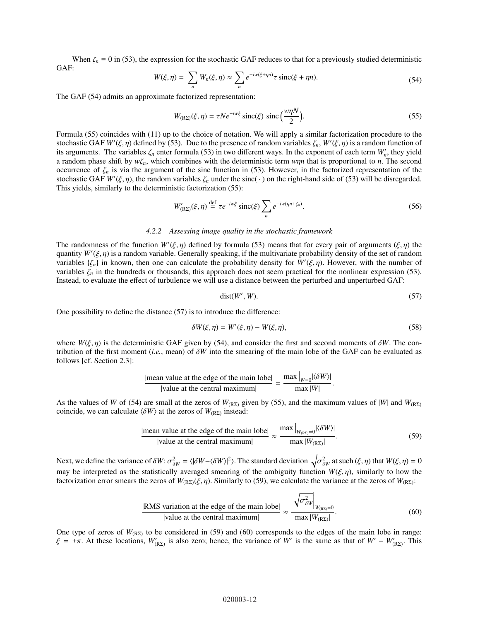When  $\zeta_n \equiv 0$  in (53), the expression for the stochastic GAF reduces to that for a previously studied deterministic GAF:

$$
W(\xi,\eta) = \sum_{n} W_n(\xi,\eta) \approx \sum_{n} e^{-iw(\xi+\eta n)} \tau \operatorname{sinc}(\xi+\eta n). \tag{54}
$$

The GAF (54) admits an approximate factorized representation:

$$
W_{(R\Sigma)}(\xi, \eta) = \tau N e^{-i w \xi} \operatorname{sinc}(\xi) \operatorname{sinc}\left(\frac{w \eta N}{2}\right).
$$
 (55)

Formula (55) coincides with (11) up to the choice of notation. We will apply a similar factorization procedure to the stochastic GAF *W*<sup>(</sup> $(\xi, \eta)$  defined by (53). Due to the presence of random variables  $\zeta_n$ , *W*<sup>(</sup> $(\xi, \eta)$  is a random function of its arouments. The variables  $\zeta$  enter formula (53) in two different ways. In the exp its arguments. The variables  $\zeta_n$  enter formula (53) in two different ways. In the exponent of each term  $W'_n$ , they yield<br>a random phase shift by  $w'$ , which combines with the deterministic term *wan* that is proportio a random phase shift by  $w\zeta_n$ , which combines with the deterministic term  $w\eta n$  that is proportional to *n*. The second occurrence of  $\zeta_n$  is via the argument of the sinc function in (53). However, in the factorized representation of the stochastic GAF  $W'(\xi, \eta)$ , the random variables  $\zeta_n$  under the sinc( $\cdot$ ) on the right-hand side of (53) will be disregarded.<br>This vields, similarly to the deterministic factorization (55): This yields, similarly to the deterministic factorization (55):

$$
W'_{(\text{R}\Sigma)}(\xi,\eta) \stackrel{\text{def}}{=} \tau e^{-i w \xi} \operatorname{sinc}(\xi) \sum_{n} e^{-i w (\eta n + \zeta_n)}.
$$
 (56)

#### *4.2.2 Assessing image quality in the stochastic framework*

The randomness of the function  $W'(\xi, \eta)$  defined by formula (53) means that for every pair of arguments  $(\xi, \eta)$  the quantity  $W'(\xi, \eta)$  is a random variable. Generally speaking if the multivariate probability density of quantity  $W'(\xi, \eta)$  is a random variable. Generally speaking, if the multivariate probability density of the set of random variables  $\ell \ell + 1$  in known, then one can calculate the probability density for  $W'(\xi, n)$ . Howeve variables  $\{\zeta_n\}$  in known, then one can calculate the probability density for  $W'(\xi, \eta)$ . However, with the number of variables  $\zeta$  in the hundreds or thousands, this approach does not seem practical for the nonlinea variables <sup>ζ</sup>*<sup>n</sup>* in the hundreds or thousands, this approach does not seem practical for the nonlinear expression (53). Instead, to evaluate the effect of turbulence we will use a distance between the perturbed and unperturbed GAF:

$$
dist(W', W). \tag{57}
$$

One possibility to define the distance (57) is to introduce the difference:

$$
\delta W(\xi, \eta) = W'(\xi, \eta) - W(\xi, \eta),\tag{58}
$$

where  $W(\xi, \eta)$  is the deterministic GAF given by (54), and consider the first and second moments of  $\delta W$ . The contribution of the first moment (*i.e.*, mean) of  $\delta W$  into the smearing of the main lobe of the GAF can be evaluated as follows [cf. Section 2.3]:

$$
\frac{|\text{mean value at the edge of the main lobe}|}{|\text{value at the central maximum}|} = \frac{\text{max } \left| \frac{1}{W=0} | \langle \delta W \rangle \right|}{\text{max } |W|}
$$

As the values of *W* of (54) are small at the zeros of  $W_{(R\Sigma)}$  given by (55), and the maximum values of |*W*| and  $W_{(R\Sigma)}$ coincide, we can calculate  $\langle \delta W \rangle$  at the zeros of  $W_{(R\Sigma)}$  instead:

$$
\frac{|\text{mean value at the edge of the main lobe}|}{|\text{value at the central maximum}|} \approx \frac{\max|_{W_{(R\Sigma)}=0} |\langle \delta W \rangle|}{\max|W_{(R\Sigma)}|}.
$$
 (59)

Next, we define the variance of  $\delta W$ :  $\sigma_{\delta W}^2 = \langle |\delta W - \langle \delta W \rangle|^2 \rangle$ . The standard deviation  $\sqrt{\sigma_{\delta W}^2}$  at such  $(\xi, \eta)$  that  $W(\xi, \eta) = 0$ may be interpreted as the statistically averaged smearing of the ambiguity function  $W(\xi, \eta)$ , similarly to how the factorization error smears the zeros of  $W_{\text{QED}}(\xi, n)$ . Similarly to (59) we calculate the variance at t factorization error smears the zeros of  $W_{(R\Sigma)}(\xi, \eta)$ . Similarly to (59), we calculate the variance at the zeros of  $W_{(R\Sigma)}$ :

|RMS variation at the edge of the main lobe|  
|value at the central maximum|
$$
\approx \frac{\sqrt{\sigma_{\delta W}^2}\Big|_{W_{(R\Sigma)}=0}}{\max |W_{(R\Sigma)}|}
$$
. (60)

One type of zeros of  $W_{(R\Sigma)}$  to be considered in (59) and (60) corresponds to the edges of the main lobe in range:  $\xi = \pm \pi$ . At these locations,  $W'_{(R\Sigma)}$  is also zero; hence, the variance of *W'* is the same as that of  $W' - W'_{(R\Sigma)}$ . This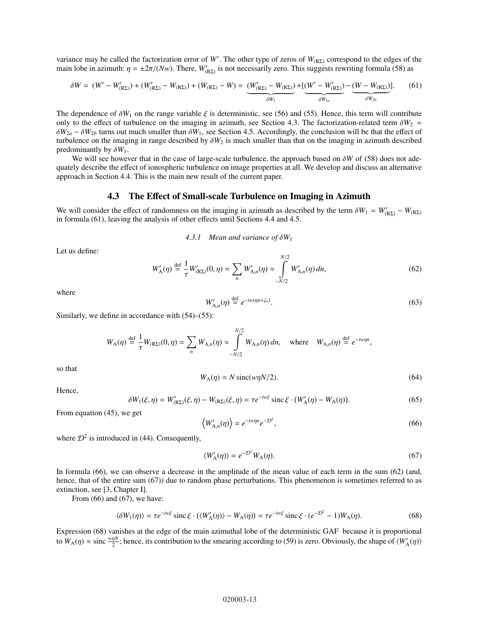variance may be called the factorization error of W'. The other type of zeros of  $W_{(R\Sigma)}$  correspond to the edges of the main lobe in azimuth:  $\eta = \pm 2\pi/(Nw)$ . There,  $W'_{(R\Sigma)}$  is not necessarily zero. This suggests rewriting formula (58) as

$$
\delta W = (W' - W'_{(R\Sigma)}) + (W'_{(R\Sigma)} - W_{(R\Sigma)}) + (W_{(R\Sigma)} - W) = \underbrace{(W'_{(R\Sigma)} - W_{(R\Sigma)})}_{\delta W_1} + \underbrace{[(W' - W'_{(R\Sigma)})}_{\delta W_{2a}} - \underbrace{(W - W_{(R\Sigma)})}_{\delta W_{2b}}].
$$
 (61)

The dependence of  $\delta W_1$  on the range variable  $\xi$  is deterministic, see (56) and (55). Hence, this term will contribute only to the effect of turbulence on the imaging in azimuth, see Section 4.3. The factorization-related term  $\delta W_2$  =  $\delta W_{2a}$  −  $\delta W_{2b}$  turns out much smaller than  $\delta W_1$ , see Section 4.5. Accordingly, the conclusion will be that the effect of turbulence on the imaging in range described by  $\delta W_2$  is much smaller than that on the imaging in azimuth described predominantly by  $\delta W_1$ .

We will see however that in the case of large-scale turbulence, the approach based on  $\delta W$  of (58) does not adequately describe the effect of ionospheric turbulence on image properties at all. We develop and discuss an alternative approach in Section 4.4. This is the main new result of the current paper.

#### 4.3 The Effect of Small-scale Turbulence on Imaging in Azimuth

We will consider the effect of randomness on the imaging in azimuth as described by the term  $\delta W_1 = W'_{(R\Sigma)} - W_{(R\Sigma)}$ <br>in formula (61), leaving the analysis of other effects until Sections 4.4 and 4.5 in formula (61), leaving the analysis of other effects until Sections 4.4 and 4.5.

4.3.1 Mean and variance of 
$$
\delta W_1
$$

Let us define:

$$
W'_{A}(\eta) \stackrel{\text{def}}{=} \frac{1}{\tau} W'_{(R\Sigma)}(0, \eta) = \sum_{n} W'_{A,n}(\eta) \approx \int_{-N/2}^{N/2} W'_{A,n}(\eta) \, dn,\tag{62}
$$

*N*/2

where

$$
W'_{A,n}(\eta) \stackrel{\text{def}}{=} e^{-iw(\eta n + \zeta_n)}.
$$
\n(63)

Similarly, we define in accordance with (54)–(55):

$$
W_{A}(\eta) \stackrel{\text{def}}{=} \frac{1}{\tau} W_{(R\Sigma)}(0, \eta) = \sum_{n} W_{A,n}(\eta) \approx \int_{-N/2}^{N/2} W_{A,n}(\eta) \, d\eta, \quad \text{where} \quad W_{A,n}(\eta) \stackrel{\text{def}}{=} e^{-i\omega\eta n},
$$

so that

$$
W_A(\eta) = N \operatorname{sinc}(w\eta N/2). \tag{64}
$$

Hence,

$$
\delta W_1(\xi, \eta) = W'_{(\mathsf{R}\Sigma)}(\xi, \eta) - W_{(\mathsf{R}\Sigma)}(\xi, \eta) = \tau e^{-i w \xi} \operatorname{sinc} \xi \cdot (W'_{\mathsf{A}}(\eta) - W_{\mathsf{A}}(\eta)). \tag{65}
$$

From equation (45), we get

$$
\left\langle W'_{A,n}(\eta)\right\rangle = e^{-i\omega\eta n}e^{-\mathcal{D}^2},\tag{66}
$$

where  $\mathcal{D}^2$  is introduced in (44). Consequently,

$$
\langle W'_{\mathcal{A}}(\eta) \rangle = e^{-\mathcal{D}^2} W_{\mathcal{A}}(\eta). \tag{67}
$$

In formula (66), we can observe a decrease in the amplitude of the mean value of each term in the sum (62) (and, hence, that of the entire sum (67)) due to random phase perturbations. This phenomenon is sometimes referred to as extinction, see [3, Chapter I].

From (66) and (67), we have:

$$
\langle \delta W_1(\eta) \rangle = \tau e^{-i w \xi} \operatorname{sinc} \xi \cdot (\langle W'_A(\eta) \rangle - W_A(\eta)) = \tau e^{-i w \xi} \operatorname{sinc} \xi \cdot (e^{-\mathcal{D}^2} - 1) W_A(\eta). \tag{68}
$$

Expression (68) vanishes at the edge of the main azimuthal lobe of the deterministic GAF because it is proportional to  $W_A(\eta) \approx \text{sinc } \frac{w\eta N}{2}$ ; hence, its contribution to the smearing according to (59) is zero. Obviously, the shape of  $\langle W'_A(\eta) \rangle$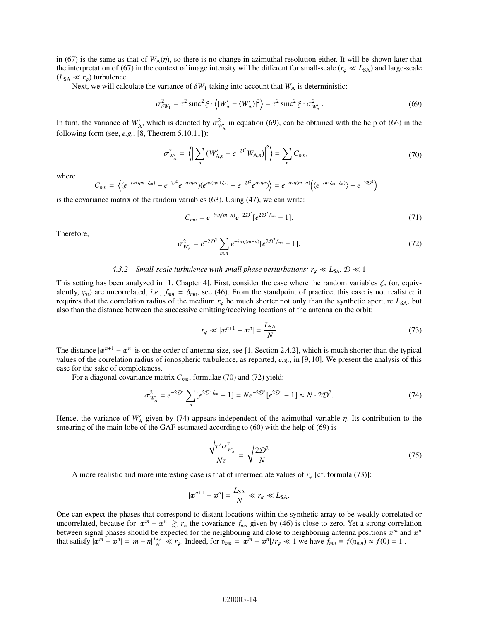in (67) is the same as that of  $W_A(\eta)$ , so there is no change in azimuthal resolution either. It will be shown later that the interpretation of (67) in the context of image intensity will be different for small-scale ( $r_\phi \ll L_{SA}$ ) and large-scale  $(L_{SA} \ll r_{\varphi})$  turbulence.

Next, we will calculate the variance of  $\delta W_1$  taking into account that  $W_A$  is deterministic:

$$
\sigma_{\delta W_1}^2 = \tau^2 \operatorname{sinc}^2 \xi \cdot \left\langle |W_{\mathcal{A}}' - \langle W_{\mathcal{A}}' \rangle|^2 \right\rangle = \tau^2 \operatorname{sinc}^2 \xi \cdot \sigma_{W_{\mathcal{A}}}^2. \tag{69}
$$

In turn, the variance of  $W'_{A}$ , which is denoted by  $\sigma_{W'_{A}}^2$  in equation (69), can be obtained with the help of (66) in the following form (see a.g. I.g. Theorem 5.10.11). following form (see, *e.g.*, [8, Theorem 5.10.11]):

$$
\sigma_{W'_{A}}^{2} = \left\langle \left| \sum_{n} \left( W'_{A,n} - e^{-\mathcal{D}^{2}} W_{A,n} \right) \right|^{2} \right\rangle = \sum_{n} C_{mn}, \tag{70}
$$

where

$$
C_{mn} = \left\langle (e^{-iw(\eta m + \zeta_m)} - e^{-D^2} e^{-iw\eta m})(e^{iw(\eta n + \zeta_n)} - e^{-D^2} e^{iw\eta n}) \right\rangle = e^{-iw\eta(m-n)} \left\langle (e^{-iw(\zeta_m - \zeta_n)}) - e^{-2D^2} \right\rangle
$$

is the covariance matrix of the random variables (63). Using (47), we can write:

$$
C_{mn} = e^{-iw\eta(m-n)}e^{-2\mathcal{D}^2}[e^{2\mathcal{D}^2f_{mn}} - 1].
$$
\n(71)

Therefore,

$$
\sigma_{W'_{\Lambda}}^2 = e^{-2\mathcal{D}^2} \sum_{m,n} e^{-iw\eta(m-n)} [e^{2\mathcal{D}^2 f_{mn}} - 1]. \tag{72}
$$

# *4.3.2* Small-scale turbulence with small phase perturbations:  $r_{\varphi} \ll L_{SA}$ ,  $\mathcal{D} \ll 1$

This setting has been analyzed in [1, Chapter 4]. First, consider the case where the random variables <sup>ζ</sup>*<sup>n</sup>* (or, equivalently,  $\varphi_n$ ) are uncorrelated, *i.e.*,  $f_{mn} = \delta_{mn}$ , see (46). From the standpoint of practice, this case is not realistic: it requires that the correlation radius of the medium  $r<sub>\phi</sub>$  be much shorter not only than the synthetic aperture  $L<sub>SA</sub>$ , but also than the distance between the successive emitting/receiving locations of the antenna on the orbit:

$$
r_{\varphi} \ll |\boldsymbol{x}^{n+1} - \boldsymbol{x}^{n}| = \frac{L_{\text{SA}}}{N}
$$
\n(73)

The distance  $|x^{n+1} - x^n|$  is on the order of antenna size, see [1, Section 2.4.2], which is much shorter than the typical values of the correlation radius of ionospheric turbulence, as reported, *e.g.*, in [9, 10]. We present the analysis of this case for the sake of completeness.

For a diagonal covariance matrix *Cmn*, formulae (70) and (72) yield:

$$
\sigma_{W_{A}'}^{2} = e^{-2\mathcal{D}^{2}} \sum_{n} [e^{2\mathcal{D}^{2}f_{nn}} - 1] = Ne^{-2\mathcal{D}^{2}} [e^{2\mathcal{D}^{2}} - 1] \approx N \cdot 2\mathcal{D}^{2}.
$$
 (74)

Hence, the variance of  $W'_{A}$  given by (74) appears independent of the azimuthal variable  $\eta$ . Its contribution to the spearing of the main lobe of the GAE estimated according to (60) with the help of (69) is smearing of the main lobe of the GAF estimated according to (60) with the help of (69) is

$$
\frac{\sqrt{\tau^2 \sigma_{W'_A}^2}}{N\tau} = \sqrt{\frac{2\mathcal{D}^2}{N}}.
$$
\n(75)

A more realistic and more interesting case is that of intermediate values of  $r_{\varphi}$  [cf. formula (73)]:

$$
|\boldsymbol{x}^{n+1}-\boldsymbol{x}^n|=\frac{L_{\text{SA}}}{N}\ll r_{\varphi}\ll L_{\text{SA}}.
$$

One can expect the phases that correspond to distant locations within the synthetic array to be weakly correlated or uncorrelated, because for  $|x^m - x^n| \ge r_\varphi$  the covariance  $f_{mn}$  given by (46) is close to zero. Yet a strong correlation between signal phases should be expected for the paigbhoring and close to paigbhoring antenna positi between signal phases should be expected for the neighboring and close to neighboring antenna positions  $x^m$  and  $x^n$ that satisfy  $|\mathbf{x}^m - \mathbf{x}^n| = |m - n| \frac{L_{SA}}{N} \ll r_\varphi$ . Indeed, for  $v_{mn} = |\mathbf{x}^m - \mathbf{x}^n|/r_\varphi \ll 1$  we have  $f_{mn} \equiv f(v_{mn}) \approx f(0) = 1$ .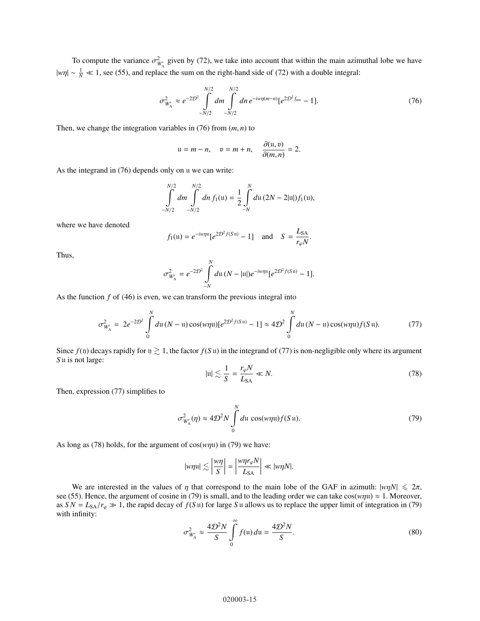To compute the variance  $\sigma_{W_A}^2$  given by (72), we take into account that within the main azimuthal lobe we have  $|w\eta| \sim \frac{1}{N} \ll 1$ , see (55), and replace the sum on the right-hand side of (72) with a double integral:

$$
\sigma_{W_{A}'}^2 \approx e^{-2\mathcal{D}^2} \int_{-N/2}^{N/2} dm \int_{-N/2}^{N/2} dn \, e^{-i w \eta(m-n)} [e^{2\mathcal{D}^2 f_{mn}} - 1]. \tag{76}
$$

Then, we change the integration variables in  $(76)$  from  $(m, n)$  to

$$
\mathfrak{u} = m - n, \quad \mathfrak{v} = m + n, \quad \frac{\partial(\mathfrak{u}, \mathfrak{v})}{\partial(m, n)} = 2.
$$

As the integrand in (76) depends only on u we can write:

$$
\int_{-N/2}^{N/2} dm \int_{-N/2}^{N/2} dn f_1(u) = \frac{1}{2} \int_{-N}^{N} du (2N - 2|u|) f_1(u),
$$

where we have denoted

$$
f_1(\mathfrak{u}) = e^{-i\omega\eta\mathfrak{u}}[e^{2\mathcal{D}^2 f(S\mathfrak{u})} - 1]
$$
 and  $S = \frac{L_{SA}}{r_{\varphi}N}$ .

Thus,

$$
\sigma_{W'_{A}}^{2} = e^{-2\mathcal{D}^{2}} \int_{-N}^{N} du \, (N - |u|) e^{-iw\eta u} [e^{2\mathcal{D}^{2} f(S u)} - 1].
$$

As the function *f* of (46) is even, we can transform the previous integral into

$$
\sigma_{W'_{\lambda}}^2 = 2e^{-2\mathcal{D}^2} \int_0^N du \, (N-u)\cos(w\eta u)[e^{2\mathcal{D}^2 f(Su)} - 1] \approx 4\mathcal{D}^2 \int_0^N du \, (N-u)\cos(w\eta u)f(Su). \tag{77}
$$

Since  $f(\theta)$  decays rapidly for  $\theta \gtrsim 1$ , the factor  $f(S \theta)$  in the integrand of (77) is non-negligible only where its argument *S* u is not large:

$$
|u| \lesssim \frac{1}{S} = \frac{r_{\varphi} N}{L_{SA}} \ll N. \tag{78}
$$

Then, expression (77) simplifies to

$$
\sigma_{W_{\Lambda}'}^2(\eta) \approx 4\mathcal{D}^2 N \int_0^N du \cos(w\eta u) f(Su). \tag{79}
$$

As long as (78) holds, for the argument of cos(*w*ηu) in (79) we have:

$$
|w\eta u| \lesssim \left|\frac{w\eta}{S}\right| = \left|\frac{w\eta r_{\varphi}N}{L_{SA}}\right| \ll |w\eta N|.
$$

We are interested in the values of  $\eta$  that correspond to the main lobe of the GAF in azimuth:  $|w\eta N| \leq 2\pi$ , see (55). Hence, the argument of cosine in (79) is small, and to the leading order we can take  $cos(w\eta u) \approx 1$ . Moreover, as  $SN = L_{SA}/r_\varphi \gg 1$ , the rapid decay of  $f(Su)$  for large  $Su$  allows us to replace the upper limit of integration in (79) with infinity:

$$
\sigma_{W_A'}^2 \approx \frac{4\mathcal{D}^2 N}{S} \int\limits_0^\infty f(u) \, du = \frac{4\mathcal{D}^2 N}{S}.\tag{80}
$$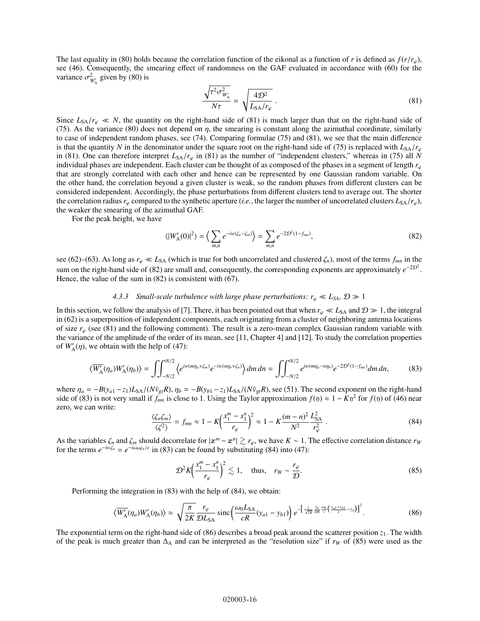The last equality in (80) holds because the correlation function of the eikonal as a function of *r* is defined as  $f(r/r<sub>\phi</sub>)$ , see (46). Consequently, the smearing effect of randomness on the GAF evaluated in accordance with (60) for the variance  $\sigma_{W'_{A}}^{2}$  given by (80) is

$$
\frac{\sqrt{\tau^2 \sigma_{W'_A}^2}}{N\tau} = \sqrt{\frac{4\mathcal{D}^2}{L_{SA}/r_{\varphi}}}.
$$
\n(81)

Since  $L_{SA}/r_\varphi \ll N$ , the quantity on the right-hand side of (81) is much larger than that on the right-hand side of (75). As the variance (80) does not depend on  $\eta$ , the smearing is constant along the azimuthal coordinate, similarly to case of independent random phases, see (74). Comparing formulae (75) and (81), we see that the main difference is that the quantity *N* in the denominator under the square root on the right-hand side of (75) is replaced with  $L_{SA}/r_\phi$ in (81). One can therefore interpret  $L_{SA}/r_{\varphi}$  in (81) as the number of "independent clusters," whereas in (75) all *N* individual phases are independent. Each cluster can be thought of as composed of the phases in a segment of length  $r<sub>ϕ</sub>$ that are strongly correlated with each other and hence can be represented by one Gaussian random variable. On the other hand, the correlation beyond a given cluster is weak, so the random phases from different clusters can be considered independent. Accordingly, the phase perturbations from different clusters tend to average out. The shorter the correlation radius  $r_{\varphi}$  compared to the synthetic aperture (*i.e.*, the larger the number of uncorrelated clusters  $L_{SA}/r_{\varphi}$ ), the weaker the smearing of the azimuthal GAF.

For the peak height, we have

$$
\langle |W'_{\mathcal{A}}(0)|^2 \rangle = \left\langle \sum_{m,n} e^{-iw(\zeta_n - \zeta_m)} \right\rangle = \sum_{m,n} e^{-2\mathcal{D}^2(1 - f_{mn})},\tag{82}
$$

see (62)–(63). As long as  $r_\phi \ll L_{SA}$  (which is true for both uncorrelated and clustered  $\zeta_n$ ), most of the terms  $f_{mn}$  in the sum on the right-hand side of  $(82)$  are small and, consequently, the corresponding exponents are approximately  $e^{-2\mathcal{D}^2}$ . Hence, the value of the sum in (82) is consistent with (67).

## *4.3.3* Small-scale turbulence with large phase perturbations:  $r_{\varphi} \ll L_{SA}$ ,  $\mathcal{D} \gg 1$

In this section, we follow the analysis of [7]. There, it has been pointed out that when  $r_\varphi \ll L_{SA}$  and  $\mathcal{D} \gg 1$ , the integral in (62) is a superposition of independent components, each originating from a cluster of neighboring antenna locations of size  $r<sub>ϕ</sub>$  (see (81) and the following comment). The result is a zero-mean complex Gaussian random variable with the variance of the amplitude of the order of its mean, see [11, Chapter 4] and [12]. To study the correlation properties of  $W'_{A}(\eta)$ , we obtain with the help of (47):

$$
\langle \overline{W'_{A}}(\eta_{a})W'_{A}(\eta_{b}) \rangle = \iint_{-N/2}^{N/2} \langle e^{iw(m\eta_{a} + \zeta_{m})} e^{-iw(m\eta_{b} + \zeta_{n})} \rangle dm \, dn = \iint_{-N/2}^{N/2} e^{iw(m\eta_{a} - n\eta_{b})} e^{-2\mathcal{D}^{2}(1 - f_{mn})} dm \, dn, \tag{83}
$$

where  $\eta_a = -B(y_{a1} - z_1)L_{SA}/(N\bar{v}_{gr}R)$ ,  $\eta_b = -B(y_{b1} - z_1)L_{SA}/(N\bar{v}_{gr}R)$ , see (51). The second exponent on the right-hand side of (83) is not very small if  $f_{mn}$  is close to 1. Using the Taylor approximation  $f(\theta) \approx 1 - K\theta^2$  for  $f(\theta)$  of (46) near zero, we can write:

$$
\frac{\langle \zeta_n \zeta_m \rangle}{\langle \zeta^2 \rangle} = f_{mn} \approx 1 - K \left( \frac{x_1^m - x_1^n}{r_\varphi} \right)^2 \approx 1 - K \frac{(m - n)^2}{N^2} \frac{L_{SA}^2}{r_\varphi^2} \ . \tag{84}
$$

As the variables  $\zeta_n$  and  $\zeta_m$  should decorrelate for  $|x^m - x^n| \gtrsim r_\varphi$ , we have  $K \sim 1$ . The effective correlation distance  $r_W$  for the terms  $e^{-iw\zeta_n} = e^{-iw_0\varphi_n/c}$  in (83) can be found by substituting (84) into (47 for the terms  $e^{-iw\zeta_n} = e^{-i\omega_0\varphi_n/c}$  in (83) can be found by substituting (84) into (47):

$$
\mathcal{D}^2 K \Big( \frac{x_1^m - x_1^n}{r_\varphi} \Big)^2 \lesssim 1, \quad \text{thus}, \quad r_W \sim \frac{r_\varphi}{\mathcal{D}}.
$$

Performing the integration in (83) with the help of (84), we obtain:

$$
\langle \overline{W'_{A}}(\eta_a) W'_{A}(\eta_b) \rangle \approx \sqrt{\frac{\pi}{2K}} \frac{r_{\varphi}}{\mathcal{D}L_{SA}} \operatorname{sinc} \left( \frac{\omega_0 L_{SA}}{cR} (y_{a1} - y_{b1}) \right) e^{-\left[ \frac{1}{\sqrt{2K}} \frac{r_{\varphi}}{DR} \frac{\omega_0}{c} \left( \frac{y_{a1} + y_{b1}}{2} - z_{1} \right) \right]^{2}}.
$$
 (86)

The exponential term on the right-hand side of  $(86)$  describes a broad peak around the scatterer position  $z_1$ . The width of the peak is much greater than ∆<sup>A</sup> and can be interpreted as the "resolution size" if *r<sup>W</sup>* of (85) were used as the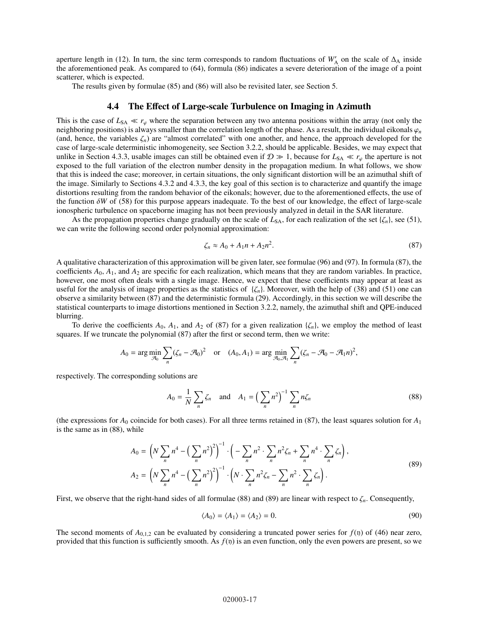aperture length in (12). In turn, the sinc term corresponds to random fluctuations of  $W'_A$  on the scale of  $\Delta_A$  inside the aforementioned peak. As compared to (64), formula (86) indicates a severe deterioration of the image of a point scatterer, which is expected.

The results given by formulae (85) and (86) will also be revisited later, see Section 5.

#### 4.4 The Effect of Large-scale Turbulence on Imaging in Azimuth

This is the case of  $L_{SA} \ll r_\phi$  where the separation between any two antenna positions within the array (not only the neighboring positions) is always smaller than the correlation length of the phase. As a result, the individual eikonals  $\varphi$ <sub>n</sub> (and, hence, the variables  $\zeta_n$ ) are "almost correlated" with one another, and hence, the approach developed for the case of large-scale deterministic inhomogeneity, see Section 3.2.2, should be applicable. Besides, we may expect that unlike in Section 4.3.3, usable images can still be obtained even if  $\mathcal{D} \gg 1$ , because for  $L_{SA} \ll r_{\varphi}$  the aperture is not exposed to the full variation of the electron number density in the propagation medium. In what follows, we show that this is indeed the case; moreover, in certain situations, the only significant distortion will be an azimuthal shift of the image. Similarly to Sections 4.3.2 and 4.3.3, the key goal of this section is to characterize and quantify the image distortions resulting from the random behavior of the eikonals; however, due to the aforementioned effects, the use of the function  $\delta W$  of (58) for this purpose appears inadequate. To the best of our knowledge, the effect of large-scale ionospheric turbulence on spaceborne imaging has not been previously analyzed in detail in the SAR literature.

As the propagation properties change gradually on the scale of  $L_{SA}$ , for each realization of the set  $\{\zeta_n\}$ , see (51), we can write the following second order polynomial approximation:

$$
\zeta_n \approx A_0 + A_1 n + A_2 n^2. \tag{87}
$$

A qualitative characterization of this approximation will be given later, see formulae (96) and (97). In formula (87), the coefficients  $A_0$ ,  $A_1$ , and  $A_2$  are specific for each realization, which means that they are random variables. In practice, however, one most often deals with a single image. Hence, we expect that these coefficients may appear at least as useful for the analysis of image properties as the statistics of  $\{\zeta_n\}$ . Moreover, with the help of (38) and (51) one can observe a similarity between (87) and the deterministic formula (29). Accordingly, in this section we will describe the statistical counterparts to image distortions mentioned in Section 3.2.2, namely, the azimuthal shift and QPE-induced blurring.

To derive the coefficients  $A_0$ ,  $A_1$ , and  $A_2$  of (87) for a given realization  $\{\zeta_n\}$ , we employ the method of least squares. If we truncate the polynomial (87) after the first or second term, then we write:

$$
A_0 = \arg\min_{\mathcal{A}_0} \sum_n (\zeta_n - \mathcal{A}_0)^2 \quad \text{or} \quad (A_0, A_1) = \arg\min_{\mathcal{A}_0, \mathcal{A}_1} \sum_n (\zeta_n - \mathcal{A}_0 - \mathcal{A}_1 n)^2,
$$

respectively. The corresponding solutions are

$$
A_0 = \frac{1}{N} \sum_{n} \zeta_n \text{ and } A_1 = \left(\sum_{n} n^2\right)^{-1} \sum_{n} n \zeta_n \tag{88}
$$

(the expressions for  $A_0$  coincide for both cases). For all three terms retained in (87), the least squares solution for  $A_1$ is the same as in (88), while

$$
A_0 = \left(N \sum_n n^4 - \left(\sum_n n^2\right)^2\right)^{-1} \cdot \left(-\sum_n n^2 \cdot \sum_n n^2 \zeta_n + \sum_n n^4 \cdot \sum_n \zeta_n\right),
$$
  
\n
$$
A_2 = \left(N \sum_n n^4 - \left(\sum_n n^2\right)^2\right)^{-1} \cdot \left(N \cdot \sum_n n^2 \zeta_n - \sum_n n^2 \cdot \sum_n \zeta_n\right).
$$
\n(89)

First, we observe that the right-hand sides of all formulae (88) and (89) are linear with respect to ζ*<sup>n</sup>*. Consequently,

$$
\langle A_0 \rangle = \langle A_1 \rangle = \langle A_2 \rangle = 0. \tag{90}
$$

The second moments of  $A_{0,1,2}$  can be evaluated by considering a truncated power series for  $f(y)$  of (46) near zero, provided that this function is sufficiently smooth. As *f*(y) is an even function, only the even powers are present, so we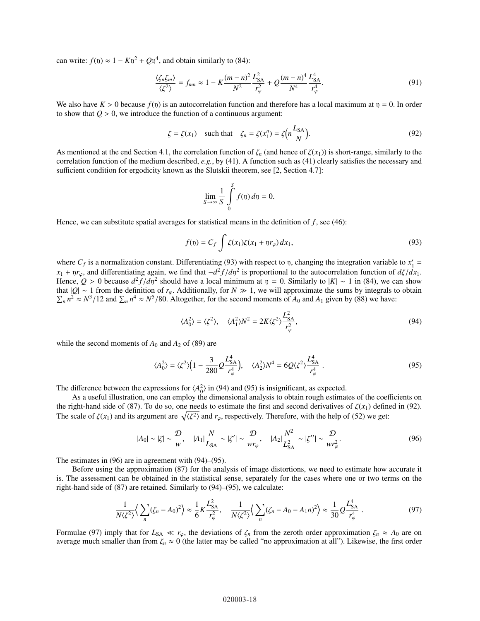can write:  $f(\mathfrak{y}) \approx 1 - K\mathfrak{y}^2 + Q\mathfrak{y}^4$ , and obtain similarly to (84):

$$
\frac{\langle \zeta_n \zeta_m \rangle}{\langle \zeta^2 \rangle} = f_{mn} \approx 1 - K \frac{(m-n)^2}{N^2} \frac{L_{SA}^2}{r_{\varphi}^2} + Q \frac{(m-n)^4}{N^4} \frac{L_{SA}^4}{r_{\varphi}^4}.
$$
(91)

We also have  $K > 0$  because  $f(\eta)$  is an autocorrelation function and therefore has a local maximum at  $\eta = 0$ . In order to show that  $Q > 0$ , we introduce the function of a continuous argument:

$$
\zeta = \zeta(x_1) \quad \text{such that} \quad \zeta_n = \zeta(x_1^n) = \zeta\Big(n\frac{L_{SA}}{N}\Big). \tag{92}
$$

As mentioned at the end Section 4.1, the correlation function of  $\zeta_n$  (and hence of  $\zeta(x_1)$ ) is short-range, similarly to the correlation function of the medium described, *e.g.*, by (41). A function such as (41) clearly satisfies the necessary and sufficient condition for ergodicity known as the Slutskii theorem, see [2, Section 4.7]:

$$
\lim_{S \to \infty} \frac{1}{S} \int_{0}^{S} f(\mathfrak{y}) d\mathfrak{y} = 0.
$$

Hence, we can substitute spatial averages for statistical means in the definition of  $f$ , see (46):

$$
f(\mathfrak{y}) = C_f \int \zeta(x_1) \zeta(x_1 + \mathfrak{y}r_\varphi) dx_1,
$$
\n(93)

where  $C_f$  is a normalization constant. Differentiating (93) with respect to y, changing the integration variable to  $x'_1$  =  $x_1 + y_r$ , and differentiating again, we find that  $-d^2f/dy^2$  is proportional to the autocorrelation function of  $d\zeta/dx_1$ .<br>Hence  $\theta > 0$  because  $d^2f/dy^2$  should have a local minimum at  $y = 0$ . Similarly to  $|K| \approx 1$  in Hence,  $Q > 0$  because  $d^2 f/dy^2$  should have a local minimum at  $y = 0$ . Similarly to  $|K| \sim 1$  in (84), we can show that  $|Q| \sim 1$  from the definition of r. Additionally for  $N \gg 1$  we will approximate the sums by integra that  $|Q|$  ∼ 1 from the definition of  $r_{\varphi}$ . Additionally, for  $N \gg 1$ , we will approximate the sums by integrals to obtain  $\sum_n n^2 \approx N^3/12$  and  $\sum_n n^4 \approx N^5/80$ . Altogether, for the second moments of  $A_0$  and  $A_1$  given by (88) we have:

$$
\langle A_0^2 \rangle = \langle \zeta^2 \rangle, \quad \langle A_1^2 \rangle N^2 = 2K \langle \zeta^2 \rangle \frac{L_{SA}^2}{r_{\varphi}^2},\tag{94}
$$

while the second moments of  $A_0$  and  $A_2$  of (89) are

$$
\langle A_0^2 \rangle = \langle \zeta^2 \rangle \Big( 1 - \frac{3}{280} Q \frac{L_{SA}^4}{r_{\varphi}^4} \Big), \quad \langle A_2^2 \rangle N^4 = 6Q \langle \zeta^2 \rangle \frac{L_{SA}^4}{r_{\varphi}^4} \,. \tag{95}
$$

The difference between the expressions for  $\langle A_0^2 \rangle$  in (94) and (95) is insignificant, as expected.

As a useful illustration, one can employ the dimensional analysis to obtain rough estimates of the coefficients on the right-hand side of (87). To do so, one needs to estimate the first and second derivatives of  $\zeta(x_1)$  defined in (92). The scale of  $\zeta(x_1)$  and its argument are  $\sqrt{\langle \zeta^2 \rangle}$  and  $r_\varphi$ , respectively. Therefore, with the help of (52) we get:

$$
|A_0| \sim |\zeta| \sim \frac{\mathcal{D}}{w}, \quad |A_1| \frac{N}{L_{SA}} \sim |\zeta'| \sim \frac{\mathcal{D}}{wr_{\varphi}}, \quad |A_2| \frac{N^2}{L_{SA}^2} \sim |\zeta''| \sim \frac{\mathcal{D}}{wr_{\varphi}^2}.
$$
 (96)

The estimates in (96) are in agreement with (94)–(95).

Before using the approximation (87) for the analysis of image distortions, we need to estimate how accurate it is. The assessment can be obtained in the statistical sense, separately for the cases where one or two terms on the right-hand side of (87) are retained. Similarly to (94)–(95), we calculate:

$$
\frac{1}{N\langle\zeta^2\rangle}\Big\langle\sum_n(\zeta_n-A_0)^2\Big\rangle \approx \frac{1}{6}K\frac{L_{SA}^2}{r_{\varphi}^2}, \quad \frac{1}{N\langle\zeta^2\rangle}\Big\langle\sum_n(\zeta_n-A_0-A_1n)^2\Big\rangle \approx \frac{1}{30}\mathcal{Q}\frac{L_{SA}^4}{r_{\varphi}^4}.
$$
\n(97)

Formulae (97) imply that for  $L_{SA} \ll r_\varphi$ , the deviations of  $\zeta_n$  from the zeroth order approximation  $\zeta_n \approx A_0$  are on average much smaller than from  $\zeta_n \approx 0$  (the latter may be called "no approximation at all"). Likewise, the first order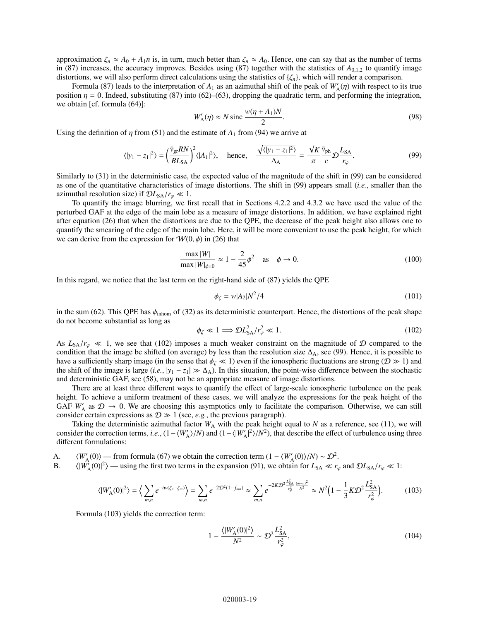approximation  $\zeta_n \approx A_0 + A_1 n$  is, in turn, much better than  $\zeta_n \approx A_0$ . Hence, one can say that as the number of terms in (87) increases, the accuracy improves. Besides using (87) together with the statistics of  $A_{0,1,2}$  to quantify image distortions, we will also perform direct calculations using the statistics of {ζ*<sup>n</sup>*}, which will render a comparison.

Formula (87) leads to the interpretation of  $A_1$  as an azimuthal shift of the peak of  $W'_{A}(\eta)$  with respect to its true<br>ion  $n = 0$ . Indeed, substituting (87) into (62)–(63) dropping the quadratic term, and performing t position  $\eta = 0$ . Indeed, substituting (87) into (62)–(63), dropping the quadratic term, and performing the integration, we obtain [cf. formula (64)]:

$$
W'_{A}(\eta) \approx N \operatorname{sinc} \frac{w(\eta + A_1)N}{2}.\tag{98}
$$

Using the definition of  $\eta$  from (51) and the estimate of  $A_1$  from (94) we arrive at

$$
\langle |y_1 - z_1|^2 \rangle = \left(\frac{\bar{v}_{gr} R N}{BL_{SA}}\right)^2 \langle |A_1|^2 \rangle, \quad \text{hence,} \quad \frac{\sqrt{\langle |y_1 - z_1|^2 \rangle}}{\Delta_A} = \frac{\sqrt{K}}{\pi} \frac{\bar{v}_{ph}}{c} \mathcal{D} \frac{L_{SA}}{r_{\varphi}}.
$$
 (99)

Similarly to (31) in the deterministic case, the expected value of the magnitude of the shift in (99) can be considered as one of the quantitative characteristics of image distortions. The shift in (99) appears small (*i.e.*, smaller than the azimuthal resolution size) if  $\mathcal{D}L_{SA}/r_\varphi \ll 1$ .

To quantify the image blurring, we first recall that in Sections 4.2.2 and 4.3.2 we have used the value of the perturbed GAF at the edge of the main lobe as a measure of image distortions. In addition, we have explained right after equation (26) that when the distortions are due to the QPE, the decrease of the peak height also allows one to quantify the smearing of the edge of the main lobe. Here, it will be more convenient to use the peak height, for which we can derive from the expression for  $W(0, \phi)$  in (26) that

$$
\frac{\max|W|}{\max|W|_{\phi=0}} \approx 1 - \frac{2}{45}\phi^2 \quad \text{as} \quad \phi \to 0. \tag{100}
$$

In this regard, we notice that the last term on the right-hand side of (87) yields the QPE

$$
\phi_{\zeta} = w|A_2|N^2/4\tag{101}
$$

in the sum (62). This QPE has  $\phi_{\text{inhom}}$  of (32) as its deterministic counterpart. Hence, the distortions of the peak shape do not become substantial as long as

$$
\phi_{\zeta} \ll 1 \Longrightarrow \mathcal{D}L_{SA}^2/r_{\varphi}^2 \ll 1. \tag{102}
$$

As  $L_{SA}/r_{\varphi} \ll 1$ , we see that (102) imposes a much weaker constraint on the magnitude of  $\mathcal{D}$  compared to the condition that the image be shifted (on average) by less than the resolution size  $\Delta_A$ , see (99). Hence, it is possible to have a sufficiently sharp image (in the sense that  $\phi_{\zeta} \ll 1$ ) even if the ionospheric fluctuations are strong ( $\mathcal{D} \gg 1$ ) and the shift of the image is large (*i.e.*,  $|y_1 - z_1| \gg \Delta_A$ ). In this situation, the point-wise difference between the stochastic and deterministic GAF, see (58), may not be an appropriate measure of image distortions.

There are at least three different ways to quantify the effect of large-scale ionospheric turbulence on the peak height. To achieve a uniform treatment of these cases, we will analyze the expressions for the peak height of the GAF  $W'_{A}$  as  $\mathcal{D} \to 0$ . We are choosing this asymptotics only to facilitate the comparison. Otherwise, we can still consider certain expressions as  $\mathcal{D} \gg 1$  (see, *e.g.*, the previous paragraph).

Taking the deterministic azimuthal factor  $W_A$  with the peak height equal to  $N$  as a reference, see (11), we will consider the correction terms, *i.e.*,  $(1 - \langle W_A' \rangle/N)$  and  $(1 - \langle |W_A' |^2 \rangle/N^2)$ , that describe the effect of turbulence using three different formulations: different formulations:

- A.  $\langle W'_{A}(0) \rangle$  from formula (67) we obtain the correction term  $(1 \langle W'_{A}(0) \rangle/N) \sim \mathcal{D}^2$ .<br>B.  $\langle W'_{A}(0) \rangle^2$  using the first two terms in the expansion (01) we obtain for  $I_{\mathcal{D}} \ll r$ .
- B.  $|W'_{\rm A}(0)|^2$  – using the first two terms in the expansion (91), we obtain for  $L_{\rm SA} \ll r_\varphi$  and  $\mathcal{D}L_{\rm SA}/r_\varphi \ll 1$ :

$$
\langle |W'_{A}(0)|^{2} \rangle = \Big\langle \sum_{m,n} e^{-iw(\zeta_{n}-\zeta_{m})} \Big\rangle = \sum_{m,n} e^{-2\mathcal{D}^{2}(1-f_{mn})} \approx \sum_{m,n} e^{-2K\mathcal{D}^{2}\frac{L_{SA}^{2}}{r_{\varphi}^{2}}}\frac{m-n^{2}}{N^{2}} \approx N^{2} \Big( 1 - \frac{1}{3}K\mathcal{D}^{2}\frac{L_{SA}^{2}}{r_{\varphi}^{2}} \Big). \tag{103}
$$

Formula (103) yields the correction term:

$$
1 - \frac{\langle |W'_{A}(0)|^2 \rangle}{N^2} \sim \mathcal{D}^2 \frac{L_{SA}^2}{r_{\varphi}^2},\tag{104}
$$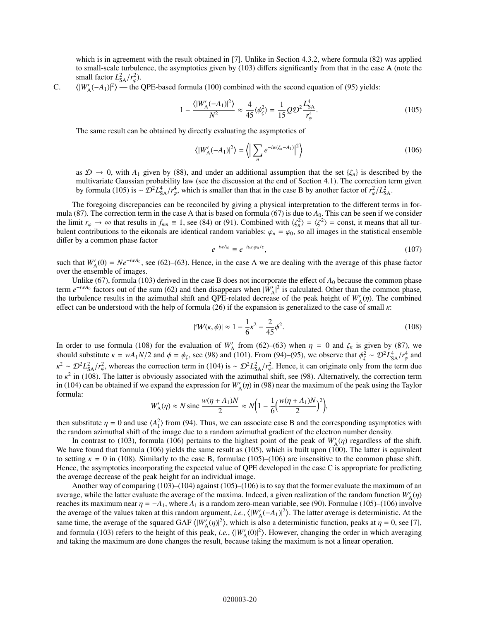which is in agreement with the result obtained in [7]. Unlike in Section 4.3.2, where formula (82) was applied to small-scale turbulence, the asymptotics given by (103) differs significantly from that in the case A (note the small factor  $L_{SA}^2/r_\varphi^2$ ).<br> $\angle |W'(A_2)|^2$  the

#### $|W_A'(-A_1)|^2$  — the QPE-based formula (100) combined with the second equation of (95) yields: C.

$$
1 - \frac{\langle |W'_{A}(-A_1)|^2 \rangle}{N^2} \approx \frac{4}{45} \langle \phi_{\zeta}^2 \rangle = \frac{1}{15} Q \mathcal{D}^2 \frac{L_{SA}^4}{r_{\varphi}^4}.
$$
 (105)

The same result can be obtained by directly evaluating the asymptotics of

 $\overline{a}$ 

$$
\langle |W'_{A}(-A_1)|^2 \rangle = \left\langle \left| \sum_{n} e^{-i w(\zeta_n - A_1)} \right|^2 \right\rangle \tag{106}
$$

as  $\mathcal{D} \to 0$ , with  $A_1$  given by (88), and under an additional assumption that the set  $\{\zeta_n\}$  is described by the multivariate Gaussian probability law (see the discussion at the end of Section 4.1). The correction term given by formula (105) is ~  $\mathcal{D}^2 L_{SA}^4/r_\varphi^4$ , which is smaller than that in the case B by another factor of  $r_\varphi^2/L_{SA}^2$ .

The foregoing discrepancies can be reconciled by giving a physical interpretation to the different terms in formula (87). The correction term in the case A that is based on formula (67) is due to  $A_0$ . This can be seen if we consider the limit  $r_{\varphi} \to \infty$  that results in  $f_{mn} \equiv 1$ , see (84) or (91). Combined with  $\langle \zeta_n^2 \rangle = \langle \zeta^2 \rangle = \text{const}$ , it means that all tur-<br>bulent contributions to the eikonals are identical random variables:  $\varphi = \varphi_0$  so bulent contributions to the eikonals are identical random variables:  $\varphi_n = \varphi_0$ , so all images in the statistical ensemble differ by a common phase factor

$$
e^{-iwA_0} \equiv e^{-i\omega_0\varphi_0/c},\tag{107}
$$

 $\overline{a}$ 

such that  $W'_{A}(0) = Ne^{-iwA_0}$ , see (62)–(63). Hence, in the case A we are dealing with the average of this phase factor over the ensemble of images.

Unlike (67), formula (103) derived in the case B does not incorporate the effect of  $A_0$  because the common phase term  $e^{-iwA_0}$  factors out of the sum (62) and then disappears when  $|W'_A|^2$  is calculated. Other than the common phase, the turbulence results in the azimuthal shift and QPE-related decrease of the peak height of  $W'_{A}(\eta)$ . The combined<br>effect can be understood with the help of formula (26) if the expansion is generalized to the case of s effect can be understood with the help of formula (26) if the expansion is generalized to the case of small  $\kappa$ :

$$
|\mathcal{W}(\kappa,\phi)| \approx 1 - \frac{1}{6}\kappa^2 - \frac{2}{45}\phi^2. \tag{108}
$$

In order to use formula (108) for the evaluation of *W*<sub>0</sub> from (62)–(63) when  $\eta = 0$  and  $\zeta_n$  is given by (87), we should substitute  $\zeta_n = wA_0N/2$  and  $\zeta_n = \zeta_n$  see (98) and (101) From (94) (95) we observe that  $\z$ should substitute  $\kappa = wA_1N/2$  and  $\phi = \phi_\zeta$ , see (98) and (101). From (94)–(95), we observe that  $\phi_\zeta^2 \sim \mathcal{D}^2 L_{SA}^4/r_\phi^4$  and  $\mathcal{D}^2 L_{SA}^2/r_\varphi^2$ , whereas the correction term in (104) is ∼  $\mathcal{D}^2 L_{SA}^2/r_\varphi^2$ . Hence, it can originate only from the term due to  $\kappa^2$  in (108). The latter is obviously associated with the azimuthal shift, see (98). Alternatively, the correction term<br>in (104) can be obtained if we expand the expression for W' (n) in (98) near the maximum of th in (104) can be obtained if we expand the expression for  $W'_{A}(\eta)$  in (98) near the maximum of the peak using the Taylor formula: formula:

$$
W'_{\mathcal{A}}(\eta) \approx N \operatorname{sinc} \frac{w(\eta + A_1)N}{2} \approx N \Big( 1 - \frac{1}{6} \Big( \frac{w(\eta + A_1)N}{2} \Big)^2 \Big),
$$

then substitute  $\eta = 0$  and use  $\langle A_1^2 \rangle$  from (94). Thus, we can associate case B and the corresponding asymptotics with the random azimuthal shift of the image due to a random azimuthal gradient of the electron number the random azimuthal shift of the image due to a random azimuthal gradient of the electron number density.

In contrast to (103), formula (106) pertains to the highest point of the peak of  $W'_{A}(\eta)$  regardless of the shift.<br>Lave found that formula (106) vields the same result as (105), which is built upon (100). The latter is We have found that formula (106) yields the same result as (105), which is built upon (100). The latter is equivalent to setting  $\kappa = 0$  in (108). Similarly to the case B, formulae (105)–(106) are insensitive to the common phase shift. Hence, the asymptotics incorporating the expected value of QPE developed in the case C is appropriate for predicting the average decrease of the peak height for an individual image.

Another way of comparing (103)–(104) against (105)–(106) is to say that the former evaluate the maximum of an average, while the latter evaluate the average of the maxima. Indeed, a given realization of the random function  $W'_{A}(\eta)$ <br>reaches its maximum near  $\eta = -4$ , where A, is a random zero-mean variable, see (90). Formulae (10 reaches its maximum near  $\eta = -A_1$ , where  $A_1$  is a random zero-mean variable, see (90). Formulae (105)–(106) involve the average of the values taken at this random argument, *i.e.*,  $\langle |W_A'(-A_1)|^2 \rangle$ . The latter average is deterministic. At the same time, the average of the squared GAF  $\langle |W'_{A}(\eta)|^2 \rangle$ , which is also a deterministic function, peaks at  $\eta = 0$ , see [7], and formula (103) refers to the height of this peak *i.e.*  $\langle |W'(0)|^2 \rangle$ . However, changing t and formula (103) refers to the height of this peak, *i.e.*,  $\langle |W'_{A}(0)|^2 \rangle$ . However, changing the order in which averaging and taking the maximum are done changes the result, because taking the maximum is not a linear operation.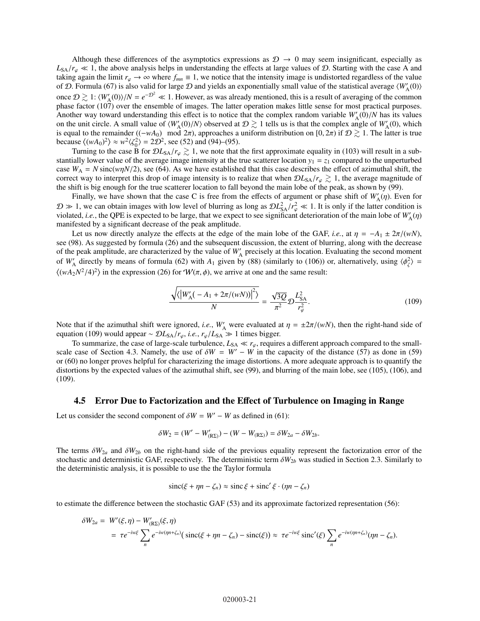Although these differences of the asymptotics expressions as  $\mathcal{D} \to 0$  may seem insignificant, especially as  $L_{SA}/r_\varphi \ll 1$ , the above analysis helps in understanding the effects at large values of  $\mathcal D$ . Starting with the case A and taking again the limit  $r_{\varphi} \to \infty$  where  $f_{mn} \equiv 1$ , we notice that the intensity image is undistorted regardless of the value<br>of D. Formula (67) is also valid for large D and yields an exponentially small value of the once  $\mathcal{D} \gtrsim 1$ :  $\langle W'_{A}(0)\rangle/N = e^{-\mathcal{D}^2} \ll 1$ . However, as was already mentioned, this is a result of averaging of the common phase factor (107) over the ensemble of images. The latter operation makes little sense f phase factor (107) over the ensemble of images. The latter operation makes little sense for most practical purposes. Another way toward understanding this effect is to notice that the complex random variable  $W'_{A}(0)/N$  has its values on the unit circle. A small value of  $(W'(0)/N)$  observed at  $\mathcal{D} \ge 1$  tells us is that the complex angl on the unit circle. A small value of  $\langle W'_{A}(0)/N \rangle$  observed at  $\mathcal{D} \gtrsim 1$  tells us is that the complex angle of  $W'_{A}(0)$ , which is equal to the remainder  $((-wA_0)$  mod  $2\pi)$  approaches a uniform distribution on  $[0$ is equal to the remainder (( $-wA_0$ ) mod  $2\pi$ ), approaches a uniform distribution on [0, 2π) if  $\mathcal{D} \gtrsim 1$ . The latter is true because  $\langle (wA_0)^2 \rangle \approx w^2 \langle \zeta_0^2 \rangle = 2D^2$ , see (52) and (94)–(95).<br>Turning to the case B for  $\Omega I_{\text{S}}/r \ge 1$ , we note that

Turning to the case B for  $\mathcal{D}L_{SA}/r_\varphi \gtrsim 1$ , we note that the first approximate equality in (103) will result in a substantially lower value of the average image intensity at the true scatterer location  $y_1 = z_1$  compared to the unperturbed case  $W_A = N \text{ sinc}(w\eta N/2)$ , see (64). As we have established that this case describes the effect of azimuthal shift, the correct way to interpret this drop of image intensity is to realize that when  $\mathcal{D}L_{SA}/r_\varphi \gtrsim 1$ , the average magnitude of the shift is big enough for the true scatterer location to fall beyond the main lobe of the peak, as shown by (99).

Finally, we have shown that the case C is free from the effects of argument or phase shift of  $W'_{A}(\eta)$ . Even for  $A$ , we can obtain images with low level of blurring as long as  $\Omega I^2 / r^2 \ll 1$ . It is only if the latter  $\mathcal{D} \gg 1$ , we can obtain images with low level of blurring as long as  $\mathcal{D}L_{SA}^2/v_\varphi^2 \ll 1$ . It is only if the latter condition is violated *i.e.* the OPE is expected to be large, that we expect to see significant d violated, *i.e.*, the QPE is expected to be large, that we expect to see significant deterioration of the main lobe of  $W'_{\{A}}(\eta)$  manifested by a significant decrease of the peak amplitude manifested by a significant decrease of the peak amplitude.

Let us now directly analyze the effects at the edge of the main lobe of the GAF, *i.e.*, at  $\eta = -A_1 \pm 2\pi/(wN)$ , see (98). As suggested by formula (26) and the subsequent discussion, the extent of blurring, along with the decrease of the peak amplitude, are characterized by the value of  $W'_{A}$  precisely at this location. Evaluating the second moment of *W*<sub>A</sub> directly by means of formula (62) with  $A_1$  given by (88) (similarly to (106)) or, alternatively, using  $\langle \phi_{\zeta}^2 \rangle =$ ζ  $\langle (wA_2N^2/4)^2 \rangle$  in the expression (26) for  $W(\pi, \phi)$ , we arrive at one and the same result:

$$
\frac{\sqrt{\langle|W'_{A}(-A_{1}+2\pi/(wN))|^{2}\rangle}}{N} = \frac{\sqrt{3Q}}{\pi^{2}} \mathcal{D} \frac{L_{SA}^{2}}{r_{\varphi}^{2}}.
$$
\n(109)

Note that if the azimuthal shift were ignored, *i.e.*,  $W'_{A}$  were evaluated at  $\eta = \pm 2\pi/(wN)$ , then the right-hand side of equation (109) would appear  $\sim \Omega I_{SA}/r$ , *i.e.*  $r / I_{SA} \gg 1$  times higger equation (109) would appear ~  $\mathcal{D}L_{SA}/r_{\varphi}$ , *i.e.*,  $r_{\varphi}/L_{SA} \gg 1$  times bigger.

To summarize, the case of large-scale turbulence,  $L_{SA} \ll r_{\varphi}$ , requires a different approach compared to the smallscale case of Section 4.3. Namely, the use of  $\delta W = W' - W$  in the capacity of the distance (57) as done in (59) or (60) no longer proves helpful for characterizing the image distortions. A more adequate approach is to quantify the distortions by the expected values of the azimuthal shift, see (99), and blurring of the main lobe, see (105), (106), and (109).

#### 4.5 Error Due to Factorization and the Effect of Turbulence on Imaging in Range

Let us consider the second component of  $\delta W = W' - W$  as defined in (61):

$$
\delta W_2 = (W' - W'_{(R\Sigma)}) - (W - W_{(R\Sigma)}) = \delta W_{2a} - \delta W_{2b}.
$$

The terms  $\delta W_{2a}$  and  $\delta W_{2b}$  on the right-hand side of the previous equality represent the factorization error of the stochastic and deterministic GAF, respectively. The deterministic term  $\delta W_{2b}$  was studied in Section 2.3. Similarly to the deterministic analysis, it is possible to use the the Taylor formula

$$
\operatorname{sinc}(\xi + \eta n - \zeta_n) \approx \operatorname{sinc} \xi + \operatorname{sinc}' \xi \cdot (\eta n - \zeta_n)
$$

to estimate the difference between the stochastic GAF (53) and its approximate factorized representation (56):

$$
\delta W_{2a} = W'(\xi, \eta) - W'_{(R\Sigma)}(\xi, \eta)
$$
  
=  $\tau e^{-iw\xi} \sum_{n} e^{-iw(\eta n + \zeta_n)} (\operatorname{sinc}(\xi + \eta n - \zeta_n) - \operatorname{sinc}(\xi)) \approx \tau e^{-iw\xi} \operatorname{sinc}'(\xi) \sum_{n} e^{-iw(\eta n + \zeta_n)}(\eta n - \zeta_n).$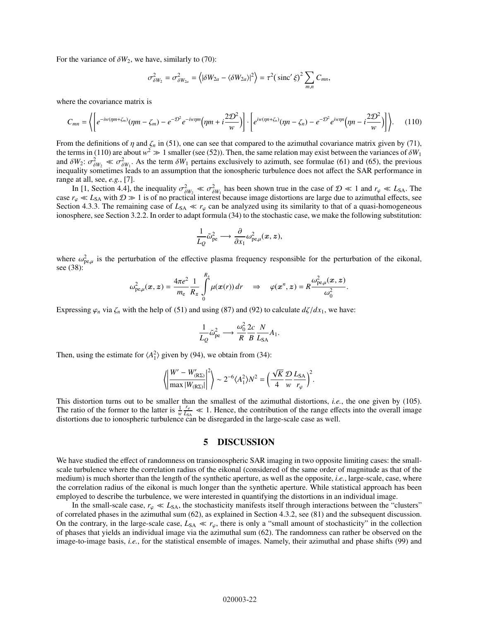For the variance of  $\delta W_2$ , we have, similarly to (70):

$$
\sigma_{\delta W_2}^2 = \sigma_{\delta W_{2a}}^2 = \left\langle |\delta W_{2a} - \langle \delta W_{2a} \rangle|^2 \right\rangle = \tau^2 (\text{sinc}'\,\xi)^2 \sum_{m,n} C_{mn},
$$

where the covariance matrix is

$$
C_{mn} = \left\langle \left[ e^{-iw(\eta m + \zeta_m)}(\eta m - \zeta_m) - e^{-\mathcal{D}^2} e^{-iw\eta m}(\eta m + i\frac{2\mathcal{D}^2}{w}) \right] \cdot \left[ e^{iw(\eta n + \zeta_n)}(\eta n - \zeta_n) - e^{-\mathcal{D}^2} e^{iw\eta n}(\eta n - i\frac{2\mathcal{D}^2}{w}) \right] \right\rangle. \tag{110}
$$

From the definitions of  $\eta$  and  $\zeta_n$  in (51), one can see that compared to the azimuthal covariance matrix given by (71),<br>the terms in (110) are about  $w^2 \gg 1$  smaller (see (52)). Then, the same relation may exist bet and  $\delta W_2$ :  $\sigma_{\delta W_2}^2 \ll \sigma_{\delta W_1}^2$ . As the term  $\delta W_1$  pertains exclusively to azimuth, see formulae (61) and (65), the previous inequality sometimes leads to an assumption that the ionospheric turbulence does not a inequality sometimes leads to an assumption that the ionospheric turbulence does not affect the SAR performance in range at all, see, *e.g.*, [7].

In [1, Section 4.4], the inequality  $\sigma_{\delta W_2}^2 \ll \sigma_{\delta W_1}^2$  has been shown true in the case of  $\mathcal{D} \ll 1$  and  $r_\varphi \ll L_{SA}$ . The  $r \ll L_{SA}$  is of no practical interest because image distortions are large due to azimuth case  $r_\varphi \ll L_{SA}$  with  $\mathcal{D} \gg 1$  is of no practical interest because image distortions are large due to azimuthal effects, see Section 4.3.3. The remaining case of  $L_{SA} \ll r_\varphi$  can be analyzed using its similarity to that of a quasi-homogeneous ionosphere, see Section 3.2.2. In order to adapt formula (34) to the stochastic case, we make the following substitution:

$$
\frac{1}{L_Q}\tilde{\omega}_{\rm pe}^2 \longrightarrow \frac{\partial}{\partial x_1}\omega_{{\rm pe},\mu}^2(x,z),
$$

where  $\omega_{\text{pe},\mu}^2$  is the perturbation of the effective plasma frequency responsible for the perturbation of the eikonal, see (38):

$$
\omega_{\text{pe},\mu}^2(\boldsymbol{x},\boldsymbol{z}) = \frac{4\pi e^2}{m_\text{e}} \frac{1}{R_z} \int\limits_0^{R_z} \mu(\boldsymbol{x}(r)) \, dr \quad \Rightarrow \quad \varphi(\boldsymbol{x}^n,\boldsymbol{z}) = R \frac{\omega_{\text{pe},\mu}^2(\boldsymbol{x},\boldsymbol{z})}{\omega_0^2}.
$$

Expressing  $\varphi_n$  via  $\zeta_n$  with the help of (51) and using (87) and (92) to calculate  $d\zeta/dx_1$ , we have:

$$
\frac{1}{L_Q}\tilde{\omega}_{\text{pe}}^2 \longrightarrow \frac{\omega_0^2}{R} \frac{2c}{B} \frac{N}{L_{SA}} A_1.
$$

Then, using the estimate for  $\langle A_1^2 \rangle$  given by (94), we obtain from (34):

$$
\left\langle \left| \frac{W'-W_{(\text{R}\Sigma)}'}{\max|W_{(\text{R}\Sigma)}|} \right|^2 \right\rangle \sim 2^{-6} \langle A_1^2 \rangle N^2 = \left( \frac{\sqrt{K}}{4} \frac{\mathcal{D}}{w} \frac{L_{\text{SA}}}{r_{\varphi}} \right)^2.
$$

This distortion turns out to be smaller than the smallest of the azimuthal distortions, *i.e.*, the one given by (105). The ratio of the former to the latter is  $\frac{1}{w} \frac{r_{\varphi}}{L_{SA}} \ll 1$ . Hence, the contribution of the range effects into the overall image distortions due to ionospheric turbulence can be disregarded in the large-scale case as well.

#### 5 DISCUSSION

We have studied the effect of randomness on transionospheric SAR imaging in two opposite limiting cases: the smallscale turbulence where the correlation radius of the eikonal (considered of the same order of magnitude as that of the medium) is much shorter than the length of the synthetic aperture, as well as the opposite, *i.e.*, large-scale, case, where the correlation radius of the eikonal is much longer than the synthetic aperture. While statistical approach has been employed to describe the turbulence, we were interested in quantifying the distortions in an individual image.

In the small-scale case,  $r_\varphi \ll L_{SA}$ , the stochasticity manifests itself through interactions between the "clusters" of correlated phases in the azimuthal sum (62), as explained in Section 4.3.2, see (81) and the subsequent discussion. On the contrary, in the large-scale case,  $L_{SA} \ll r_\varphi$ , there is only a "small amount of stochasticity" in the collection of phases that yields an individual image via the azimuthal sum (62). The randomness can rather be observed on the image-to-image basis, *i.e.*, for the statistical ensemble of images. Namely, their azimuthal and phase shifts (99) and